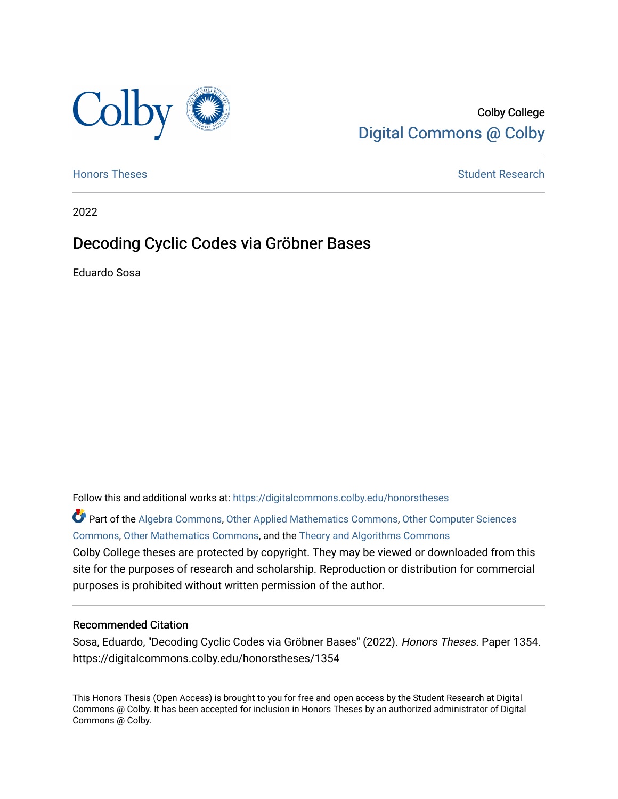

Colby College [Digital Commons @ Colby](https://digitalcommons.colby.edu/) 

[Honors Theses](https://digitalcommons.colby.edu/honorstheses) **Student Research** Student Research

2022

#### Decoding Cyclic Codes via Gröbner Bases

Eduardo Sosa

Follow this and additional works at: [https://digitalcommons.colby.edu/honorstheses](https://digitalcommons.colby.edu/honorstheses?utm_source=digitalcommons.colby.edu%2Fhonorstheses%2F1354&utm_medium=PDF&utm_campaign=PDFCoverPages) 

Part of the [Algebra Commons,](https://network.bepress.com/hgg/discipline/175?utm_source=digitalcommons.colby.edu%2Fhonorstheses%2F1354&utm_medium=PDF&utm_campaign=PDFCoverPages) [Other Applied Mathematics Commons](https://network.bepress.com/hgg/discipline/122?utm_source=digitalcommons.colby.edu%2Fhonorstheses%2F1354&utm_medium=PDF&utm_campaign=PDFCoverPages), [Other Computer Sciences](https://network.bepress.com/hgg/discipline/152?utm_source=digitalcommons.colby.edu%2Fhonorstheses%2F1354&utm_medium=PDF&utm_campaign=PDFCoverPages) [Commons](https://network.bepress.com/hgg/discipline/152?utm_source=digitalcommons.colby.edu%2Fhonorstheses%2F1354&utm_medium=PDF&utm_campaign=PDFCoverPages), [Other Mathematics Commons](https://network.bepress.com/hgg/discipline/185?utm_source=digitalcommons.colby.edu%2Fhonorstheses%2F1354&utm_medium=PDF&utm_campaign=PDFCoverPages), and the [Theory and Algorithms Commons](https://network.bepress.com/hgg/discipline/151?utm_source=digitalcommons.colby.edu%2Fhonorstheses%2F1354&utm_medium=PDF&utm_campaign=PDFCoverPages)

Colby College theses are protected by copyright. They may be viewed or downloaded from this site for the purposes of research and scholarship. Reproduction or distribution for commercial purposes is prohibited without written permission of the author.

#### Recommended Citation

Sosa, Eduardo, "Decoding Cyclic Codes via Gröbner Bases" (2022). Honors Theses. Paper 1354. https://digitalcommons.colby.edu/honorstheses/1354

This Honors Thesis (Open Access) is brought to you for free and open access by the Student Research at Digital Commons @ Colby. It has been accepted for inclusion in Honors Theses by an authorized administrator of Digital Commons @ Colby.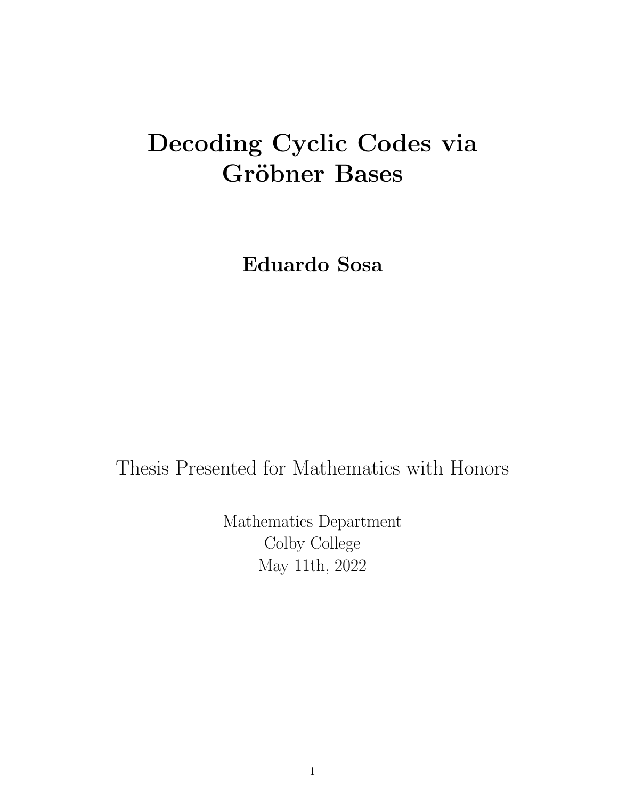# Decoding Cyclic Codes via Gröbner Bases

Eduardo Sosa

### Thesis Presented for Mathematics with Honors

Mathematics Department Colby College May 11th, 2022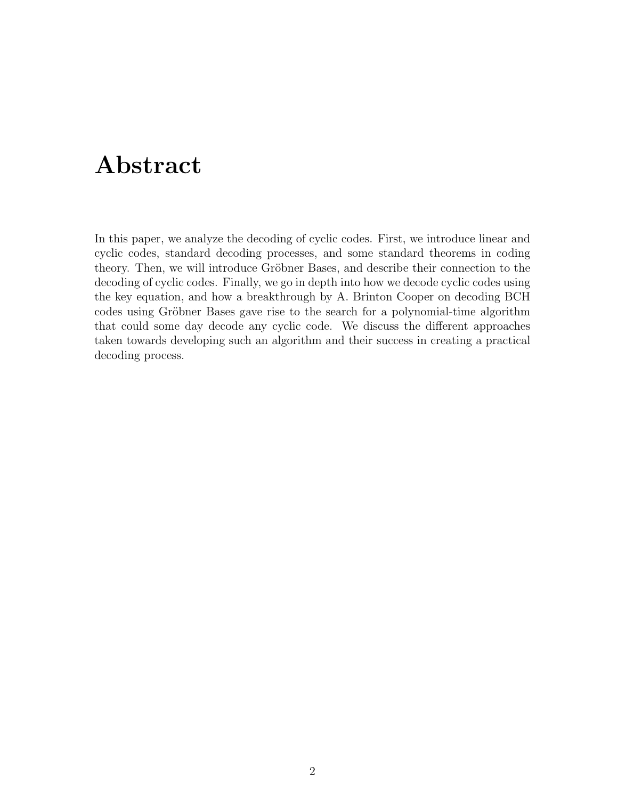## Abstract

In this paper, we analyze the decoding of cyclic codes. First, we introduce linear and cyclic codes, standard decoding processes, and some standard theorems in coding theory. Then, we will introduce Gröbner Bases, and describe their connection to the decoding of cyclic codes. Finally, we go in depth into how we decode cyclic codes using the key equation, and how a breakthrough by A. Brinton Cooper on decoding BCH codes using Gröbner Bases gave rise to the search for a polynomial-time algorithm that could some day decode any cyclic code. We discuss the different approaches taken towards developing such an algorithm and their success in creating a practical decoding process.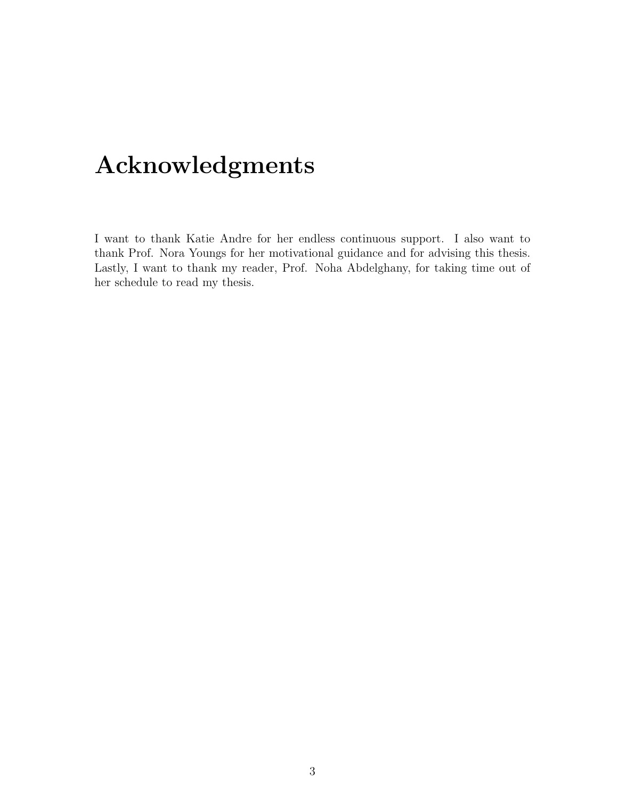# Acknowledgments

I want to thank Katie Andre for her endless continuous support. I also want to thank Prof. Nora Youngs for her motivational guidance and for advising this thesis. Lastly, I want to thank my reader, Prof. Noha Abdelghany, for taking time out of her schedule to read my thesis.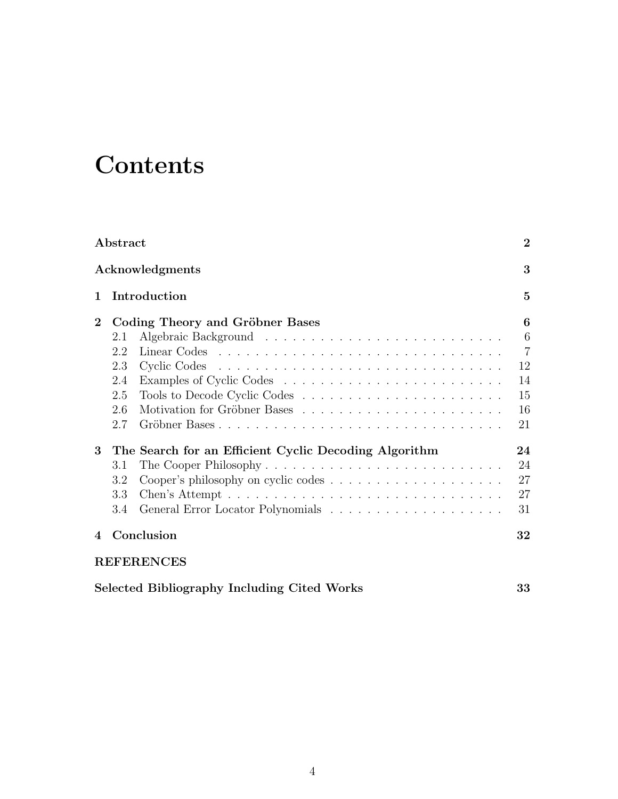# **Contents**

|                | Abstract                                                                                                         | $\overline{2}$                                             |  |  |
|----------------|------------------------------------------------------------------------------------------------------------------|------------------------------------------------------------|--|--|
|                | Acknowledgments                                                                                                  | 3                                                          |  |  |
| 1              | Introduction                                                                                                     |                                                            |  |  |
| $\mathbf{2}$   | Coding Theory and Gröbner Bases<br>2.1<br>2.2<br>2.3<br>2.4<br>Tools to Decode Cyclic Codes<br>2.5<br>2.6<br>2.7 | 6<br>$6\,$<br>$\overline{7}$<br>12<br>14<br>15<br>16<br>21 |  |  |
| 3              | The Search for an Efficient Cyclic Decoding Algorithm<br>3.1<br>3.2<br>3.3<br>3.4                                | 24<br>24<br>27<br>27<br>31                                 |  |  |
| $\overline{4}$ | Conclusion                                                                                                       |                                                            |  |  |
|                | <b>REFERENCES</b>                                                                                                |                                                            |  |  |
|                | Selected Bibliography Including Cited Works                                                                      | 33                                                         |  |  |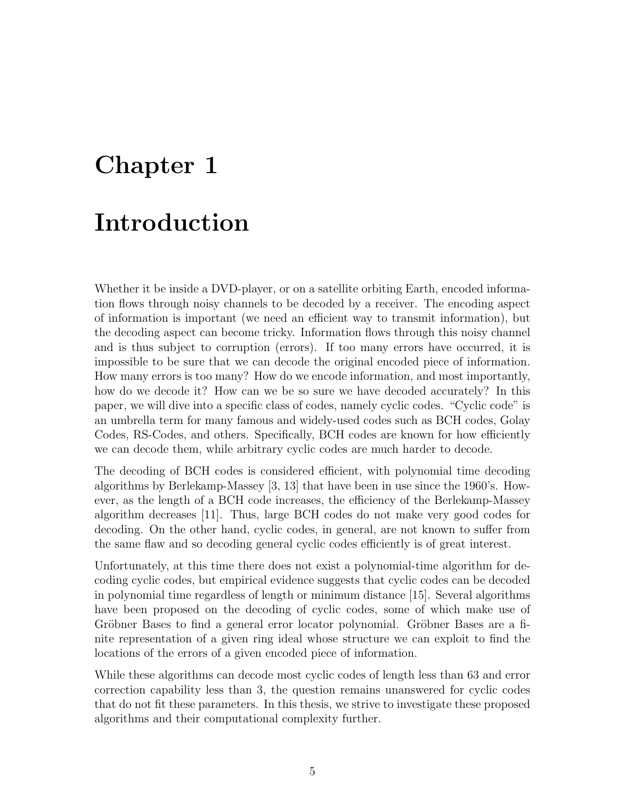# Chapter 1

### Introduction

Whether it be inside a DVD-player, or on a satellite orbiting Earth, encoded information flows through noisy channels to be decoded by a receiver. The encoding aspect of information is important (we need an efficient way to transmit information), but the decoding aspect can become tricky. Information flows through this noisy channel and is thus subject to corruption (errors). If too many errors have occurred, it is impossible to be sure that we can decode the original encoded piece of information. How many errors is too many? How do we encode information, and most importantly, how do we decode it? How can we be so sure we have decoded accurately? In this paper, we will dive into a specific class of codes, namely cyclic codes. "Cyclic code" is an umbrella term for many famous and widely-used codes such as BCH codes, Golay Codes, RS-Codes, and others. Specifically, BCH codes are known for how efficiently we can decode them, while arbitrary cyclic codes are much harder to decode.

The decoding of BCH codes is considered efficient, with polynomial time decoding algorithms by Berlekamp-Massey [3, 13] that have been in use since the 1960's. However, as the length of a BCH code increases, the efficiency of the Berlekamp-Massey algorithm decreases [11]. Thus, large BCH codes do not make very good codes for decoding. On the other hand, cyclic codes, in general, are not known to suffer from the same flaw and so decoding general cyclic codes efficiently is of great interest.

Unfortunately, at this time there does not exist a polynomial-time algorithm for decoding cyclic codes, but empirical evidence suggests that cyclic codes can be decoded in polynomial time regardless of length or minimum distance [15]. Several algorithms have been proposed on the decoding of cyclic codes, some of which make use of Gröbner Bases to find a general error locator polynomial. Gröbner Bases are a finite representation of a given ring ideal whose structure we can exploit to find the locations of the errors of a given encoded piece of information.

While these algorithms can decode most cyclic codes of length less than 63 and error correction capability less than 3, the question remains unanswered for cyclic codes that do not fit these parameters. In this thesis, we strive to investigate these proposed algorithms and their computational complexity further.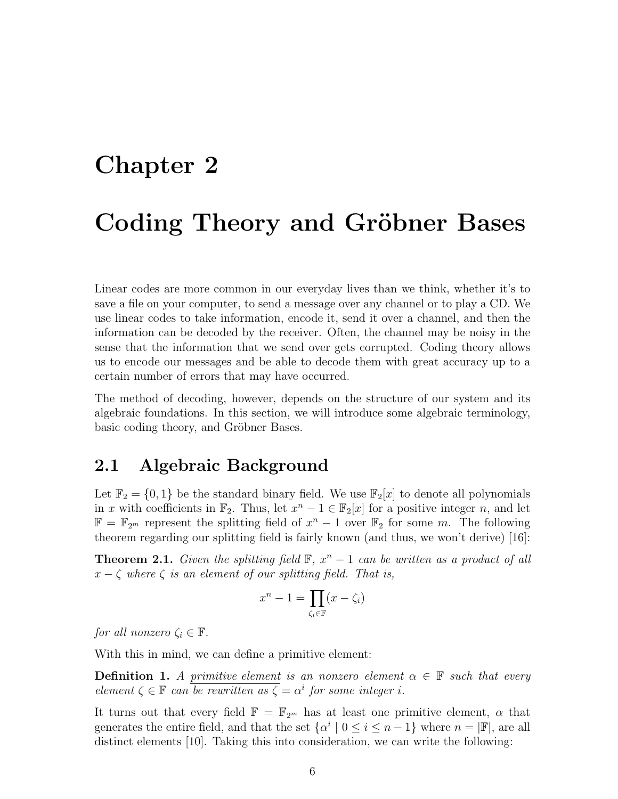### Chapter 2

## Coding Theory and Gröbner Bases

Linear codes are more common in our everyday lives than we think, whether it's to save a file on your computer, to send a message over any channel or to play a CD. We use linear codes to take information, encode it, send it over a channel, and then the information can be decoded by the receiver. Often, the channel may be noisy in the sense that the information that we send over gets corrupted. Coding theory allows us to encode our messages and be able to decode them with great accuracy up to a certain number of errors that may have occurred.

The method of decoding, however, depends on the structure of our system and its algebraic foundations. In this section, we will introduce some algebraic terminology, basic coding theory, and Gröbner Bases.

#### 2.1 Algebraic Background

Let  $\mathbb{F}_2 = \{0, 1\}$  be the standard binary field. We use  $\mathbb{F}_2[x]$  to denote all polynomials in x with coefficients in  $\mathbb{F}_2$ . Thus, let  $x^n - 1 \in \mathbb{F}_2[x]$  for a positive integer n, and let  $\mathbb{F} = \mathbb{F}_{2^m}$  represent the splitting field of  $x^n - 1$  over  $\mathbb{F}_2$  for some m. The following theorem regarding our splitting field is fairly known (and thus, we won't derive) [16]:

**Theorem 2.1.** Given the splitting field  $\mathbb{F}$ ,  $x^n - 1$  can be written as a product of all  $x - \zeta$  where  $\zeta$  is an element of our splitting field. That is,

$$
x^n - 1 = \prod_{\zeta_i \in \mathbb{F}} (x - \zeta_i)
$$

for all nonzero  $\zeta_i \in \mathbb{F}$ .

With this in mind, we can define a primitive element:

**Definition 1.** A primitive element is an nonzero element  $\alpha \in \mathbb{F}$  such that every element  $\zeta \in \mathbb{F}$  can be rewritten as  $\overline{\zeta} = \alpha^i$  for some integer i.

It turns out that every field  $\mathbb{F} = \mathbb{F}_{2^m}$  has at least one primitive element,  $\alpha$  that generates the entire field, and that the set  $\{\alpha^i \mid 0 \le i \le n-1\}$  where  $n = |\mathbb{F}|$ , are all distinct elements [10]. Taking this into consideration, we can write the following: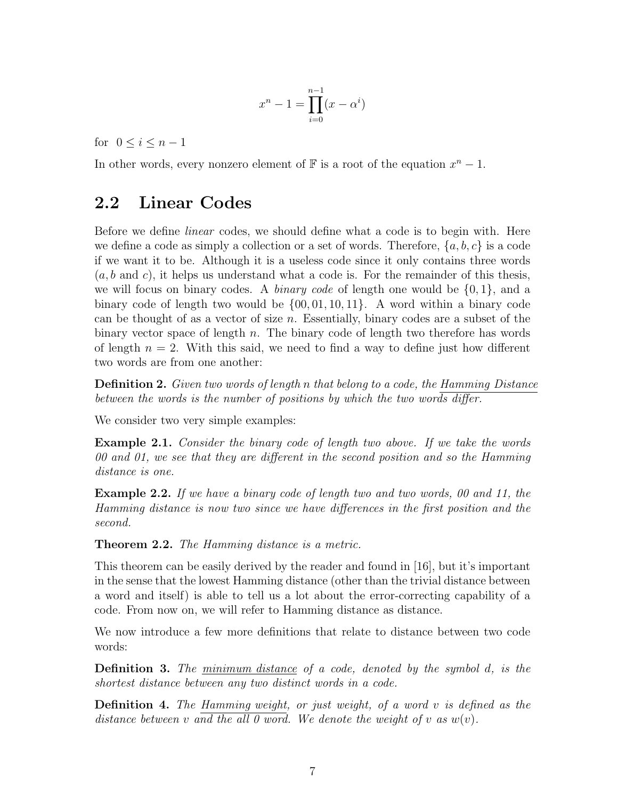$$
x^n-1=\prod_{i=0}^{n-1}(x-\alpha^i)
$$

for  $0 \leq i \leq n-1$ 

In other words, every nonzero element of  $\mathbb F$  is a root of the equation  $x^n - 1$ .

### 2.2 Linear Codes

Before we define linear codes, we should define what a code is to begin with. Here we define a code as simply a collection or a set of words. Therefore,  $\{a, b, c\}$  is a code if we want it to be. Although it is a useless code since it only contains three words  $(a, b \text{ and } c)$ , it helps us understand what a code is. For the remainder of this thesis, we will focus on binary codes. A *binary code* of length one would be  $\{0, 1\}$ , and a binary code of length two would be {00, 01, 10, 11}. A word within a binary code can be thought of as a vector of size  $n$ . Essentially, binary codes are a subset of the binary vector space of length n. The binary code of length two therefore has words of length  $n = 2$ . With this said, we need to find a way to define just how different two words are from one another:

**Definition 2.** Given two words of length n that belong to a code, the Hamming Distance between the words is the number of positions by which the two words differ.

We consider two very simple examples:

**Example 2.1.** Consider the binary code of length two above. If we take the words 00 and 01, we see that they are different in the second position and so the Hamming distance is one.

**Example 2.2.** If we have a binary code of length two and two words, 00 and 11, the Hamming distance is now two since we have differences in the first position and the second.

**Theorem 2.2.** The Hamming distance is a metric.

This theorem can be easily derived by the reader and found in [16], but it's important in the sense that the lowest Hamming distance (other than the trivial distance between a word and itself) is able to tell us a lot about the error-correcting capability of a code. From now on, we will refer to Hamming distance as distance.

We now introduce a few more definitions that relate to distance between two code words:

**Definition 3.** The minimum distance of a code, denoted by the symbol d, is the shortest distance between any two distinct words in a code.

Definition 4. The Hamming weight, or just weight, of a word v is defined as the distance between v and the all 0 word. We denote the weight of v as  $w(v)$ .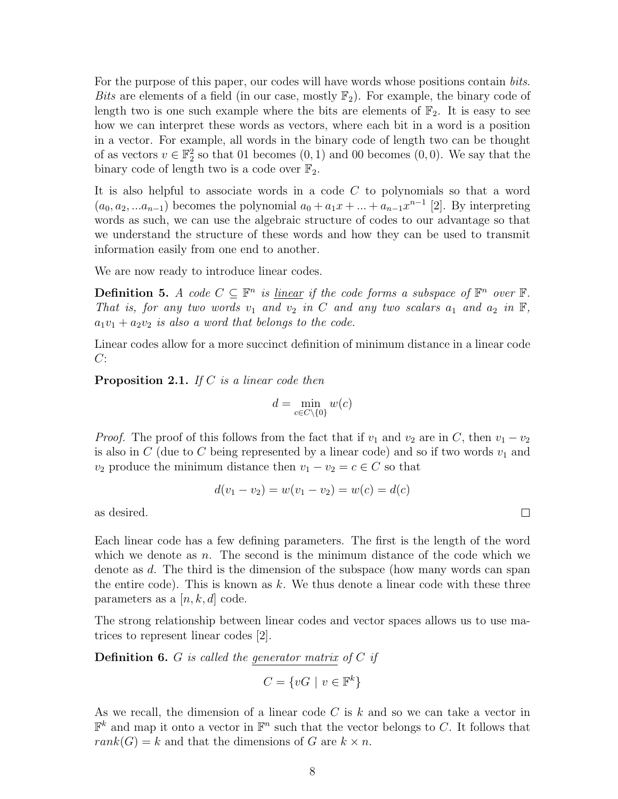For the purpose of this paper, our codes will have words whose positions contain *bits*. Bits are elements of a field (in our case, mostly  $\mathbb{F}_2$ ). For example, the binary code of length two is one such example where the bits are elements of  $\mathbb{F}_2$ . It is easy to see how we can interpret these words as vectors, where each bit in a word is a position in a vector. For example, all words in the binary code of length two can be thought of as vectors  $v \in \mathbb{F}_2^2$  so that 01 becomes  $(0, 1)$  and 00 becomes  $(0, 0)$ . We say that the binary code of length two is a code over  $\mathbb{F}_2$ .

It is also helpful to associate words in a code  $C$  to polynomials so that a word  $(a_0, a_2, \ldots a_{n-1})$  becomes the polynomial  $a_0 + a_1 x + \ldots + a_{n-1} x^{n-1}$  [2]. By interpreting words as such, we can use the algebraic structure of codes to our advantage so that we understand the structure of these words and how they can be used to transmit information easily from one end to another.

We are now ready to introduce linear codes.

**Definition 5.** A code  $C \subseteq \mathbb{F}^n$  is <u>linear</u> if the code forms a subspace of  $\mathbb{F}^n$  over  $\mathbb{F}$ . That is, for any two words  $v_1$  and  $v_2$  in C and any two scalars  $a_1$  and  $a_2$  in  $F$ ,  $a_1v_1 + a_2v_2$  is also a word that belongs to the code.

Linear codes allow for a more succinct definition of minimum distance in a linear code  $C$ :

**Proposition 2.1.** If C is a linear code then

$$
d=\min_{c\in C\backslash\{0\}}w(c)
$$

*Proof.* The proof of this follows from the fact that if  $v_1$  and  $v_2$  are in C, then  $v_1 - v_2$ is also in C (due to C being represented by a linear code) and so if two words  $v_1$  and  $v_2$  produce the minimum distance then  $v_1 - v_2 = c \in C$  so that

$$
d(v_1 - v_2) = w(v_1 - v_2) = w(c) = d(c)
$$

as desired.

Each linear code has a few defining parameters. The first is the length of the word which we denote as n. The second is the minimum distance of the code which we denote as d. The third is the dimension of the subspace (how many words can span the entire code). This is known as  $k$ . We thus denote a linear code with these three parameters as a  $[n, k, d]$  code.

The strong relationship between linear codes and vector spaces allows us to use matrices to represent linear codes [2].

**Definition 6.**  $G$  is called the generator matrix of  $C$  if

$$
C = \{ vG \mid v \in \mathbb{F}^k \}
$$

As we recall, the dimension of a linear code  $C$  is  $k$  and so we can take a vector in  $\mathbb{F}^k$  and map it onto a vector in  $\mathbb{F}^n$  such that the vector belongs to C. It follows that  $rank(G) = k$  and that the dimensions of G are  $k \times n$ .

 $\Box$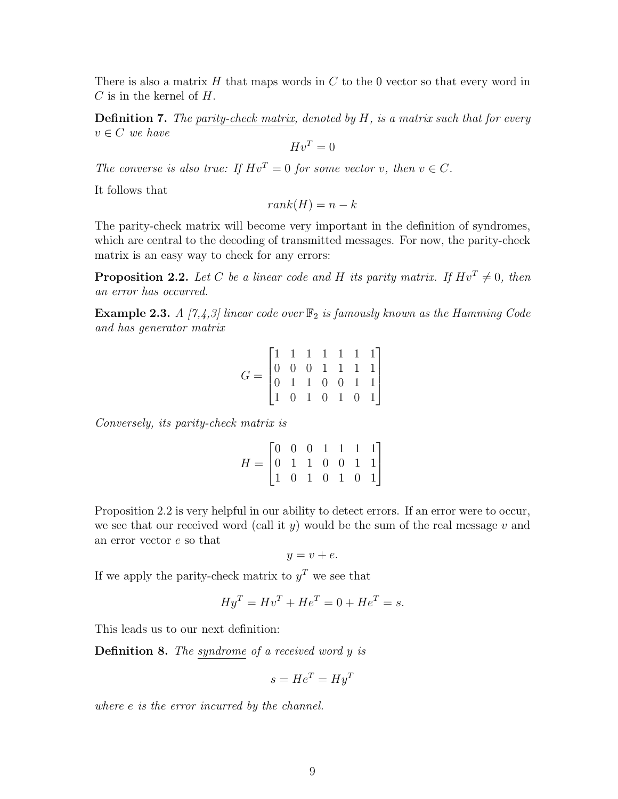There is also a matrix  $H$  that maps words in  $C$  to the 0 vector so that every word in  $C$  is in the kernel of  $H$ .

**Definition 7.** The parity-check matrix, denoted by  $H$ , is a matrix such that for every  $v \in C$  we have

 $Hv^T=0$ 

The converse is also true: If  $Hv^T = 0$  for some vector v, then  $v \in C$ .

It follows that

 $rank(H) = n - k$ 

The parity-check matrix will become very important in the definition of syndromes, which are central to the decoding of transmitted messages. For now, the parity-check matrix is an easy way to check for any errors:

**Proposition 2.2.** Let C be a linear code and H its parity matrix. If  $Hv^T \neq 0$ , then an error has occurred.

**Example 2.3.** A [7,4,3] linear code over  $\mathbb{F}_2$  is famously known as the Hamming Code and has generator matrix

$$
G = \begin{bmatrix} 1 & 1 & 1 & 1 & 1 & 1 & 1 \\ 0 & 0 & 0 & 1 & 1 & 1 & 1 \\ 0 & 1 & 1 & 0 & 0 & 1 & 1 \\ 1 & 0 & 1 & 0 & 1 & 0 & 1 \end{bmatrix}
$$

Conversely, its parity-check matrix is

$$
H = \begin{bmatrix} 0 & 0 & 0 & 1 & 1 & 1 & 1 \\ 0 & 1 & 1 & 0 & 0 & 1 & 1 \\ 1 & 0 & 1 & 0 & 1 & 0 & 1 \end{bmatrix}
$$

Proposition 2.2 is very helpful in our ability to detect errors. If an error were to occur, we see that our received word (call it  $y$ ) would be the sum of the real message  $v$  and an error vector e so that

$$
y = v + e.
$$

If we apply the parity-check matrix to  $y<sup>T</sup>$  we see that

$$
Hy^T = Hv^T + He^T = 0 + He^T = s.
$$

This leads us to our next definition:

**Definition 8.** The syndrome of a received word  $y$  is

$$
s = He^T = Hy^T
$$

where e is the error incurred by the channel.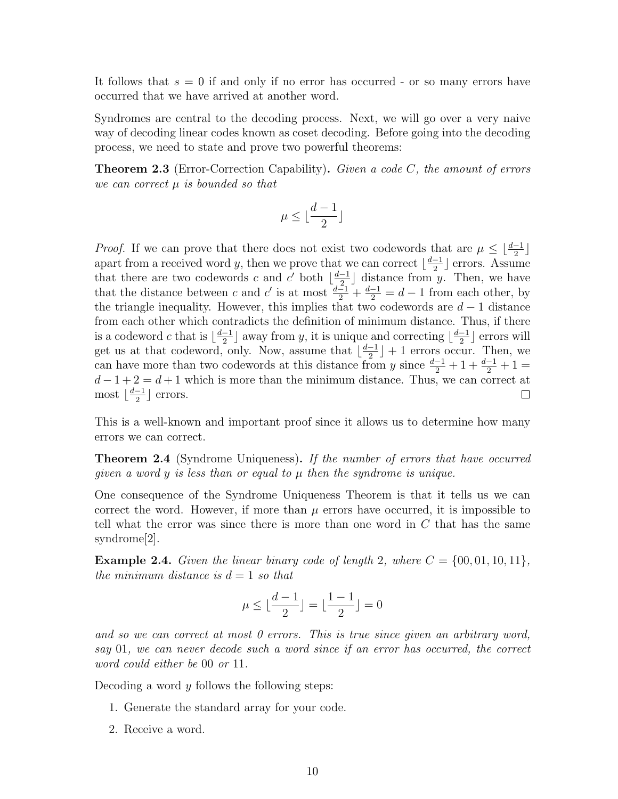It follows that  $s = 0$  if and only if no error has occurred - or so many errors have occurred that we have arrived at another word.

Syndromes are central to the decoding process. Next, we will go over a very naive way of decoding linear codes known as coset decoding. Before going into the decoding process, we need to state and prove two powerful theorems:

**Theorem 2.3** (Error-Correction Capability). Given a code C, the amount of errors we can correct  $\mu$  is bounded so that

$$
\mu \leq \lfloor \frac{d-1}{2} \rfloor
$$

*Proof.* If we can prove that there does not exist two codewords that are  $\mu \leq \lfloor \frac{d-1}{2} \rfloor$ apart from a received word y, then we prove that we can correct  $\left|\frac{d-1}{2}\right|$  errors. Assume that there are two codewords c and c' both  $\left[\frac{d-1}{2}\right]$  distance from  $\frac{-1}{2}$  distance from y. Then, we have that the distance between c and c' is at most  $\frac{d-1}{2} + \frac{d-1}{2} = d-1$  from each other, by the triangle inequality. However, this implies that two codewords are  $d-1$  distance from each other which contradicts the definition of minimum distance. Thus, if there is a codeword c that is  $\lfloor \frac{d-1}{2} \rfloor$  away from y, it is unique and correcting  $\lfloor \frac{d-1}{2} \rfloor$  errors will as a codeword c that is  $\lfloor \frac{2}{2} \rfloor$  away from y, to is different correcting  $\lfloor \frac{2}{2} \rfloor$ <br>get us at that codeword, only. Now, assume that  $\lfloor \frac{d-1}{2} \rfloor + 1$  errors occu  $\frac{-1}{2}$  + 1 errors occur. Then, we can have more than two codewords at this distance from y since  $\frac{d-1}{2} + 1 + \frac{d-1}{2} + 1 =$  $d-1+2=d+1$  which is more than the minimum distance. Thus, we can correct at most  $\frac{d-1}{2}$  $\frac{-1}{2}$  errors.  $\Box$ 

This is a well-known and important proof since it allows us to determine how many errors we can correct.

**Theorem 2.4** (Syndrome Uniqueness). If the number of errors that have occurred qiven a word y is less than or equal to  $\mu$  then the syndrome is unique.

One consequence of the Syndrome Uniqueness Theorem is that it tells us we can correct the word. However, if more than  $\mu$  errors have occurred, it is impossible to tell what the error was since there is more than one word in  $C$  that has the same syndrome[2].

**Example 2.4.** Given the linear binary code of length 2, where  $C = \{00, 01, 10, 11\}$ , the minimum distance is  $d = 1$  so that

$$
\mu \le \lfloor \frac{d-1}{2} \rfloor = \lfloor \frac{1-1}{2} \rfloor = 0
$$

and so we can correct at most 0 errors. This is true since given an arbitrary word, say 01, we can never decode such a word since if an error has occurred, the correct word could either be 00 or 11.

Decoding a word  $y$  follows the following steps:

- 1. Generate the standard array for your code.
- 2. Receive a word.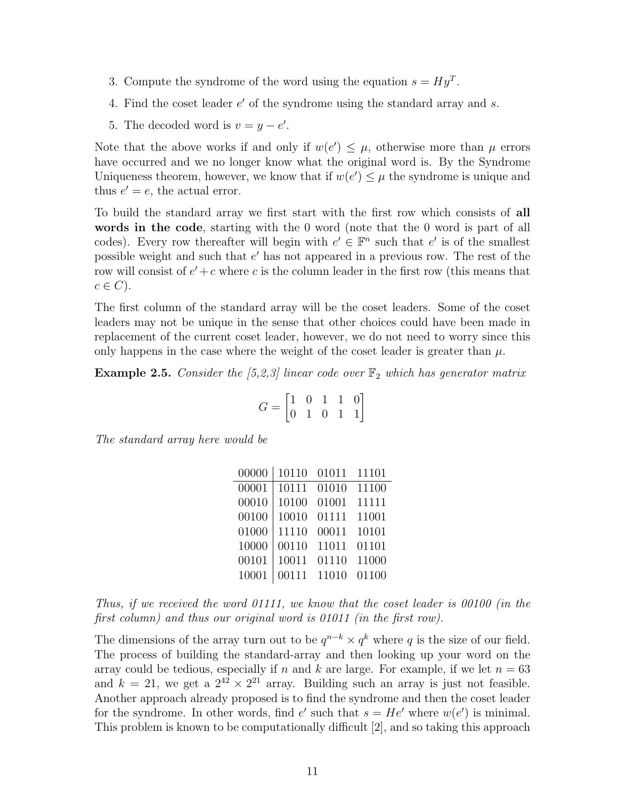- 3. Compute the syndrome of the word using the equation  $s = Hy^T$ .
- 4. Find the coset leader  $e'$  of the syndrome using the standard array and  $s$ .
- 5. The decoded word is  $v = y e'$ .

Note that the above works if and only if  $w(e') \leq \mu$ , otherwise more than  $\mu$  errors have occurred and we no longer know what the original word is. By the Syndrome Uniqueness theorem, however, we know that if  $w(e') \leq \mu$  the syndrome is unique and thus  $e' = e$ , the actual error.

To build the standard array we first start with the first row which consists of all words in the code, starting with the 0 word (note that the 0 word is part of all codes). Every row thereafter will begin with  $e' \in \mathbb{F}^n$  such that  $e'$  is of the smallest possible weight and such that  $e'$  has not appeared in a previous row. The rest of the row will consist of  $e' + c$  where c is the column leader in the first row (this means that  $c \in C$ ).

The first column of the standard array will be the coset leaders. Some of the coset leaders may not be unique in the sense that other choices could have been made in replacement of the current coset leader, however, we do not need to worry since this only happens in the case where the weight of the coset leader is greater than  $\mu$ .

**Example 2.5.** Consider the [5,2,3] linear code over  $\mathbb{F}_2$  which has generator matrix

$$
G = \begin{bmatrix} 1 & 0 & 1 & 1 & 0 \\ 0 & 1 & 0 & 1 & 1 \end{bmatrix}
$$

The standard array here would be

| 00000 | 10110 | 01011 | 11101 |
|-------|-------|-------|-------|
| 00001 | 10111 | 01010 | 11100 |
| 00010 | 10100 | 01001 | 11111 |
| 00100 | 10010 | 01111 | 11001 |
| 01000 | 11110 | 00011 | 10101 |
| 10000 | 00110 | 11011 | 01101 |
| 00101 | 10011 | 01110 | 11000 |
| 10001 | 00111 | 11010 | 01100 |

Thus, if we received the word 01111, we know that the coset leader is 00100 (in the first column) and thus our original word is 01011 (in the first row).

The dimensions of the array turn out to be  $q^{n-k} \times q^k$  where q is the size of our field. The process of building the standard-array and then looking up your word on the array could be tedious, especially if n and k are large. For example, if we let  $n = 63$ and  $k = 21$ , we get a  $2^{42} \times 2^{21}$  array. Building such an array is just not feasible. Another approach already proposed is to find the syndrome and then the coset leader for the syndrome. In other words, find  $e'$  such that  $s = He'$  where  $w(e')$  is minimal. This problem is known to be computationally difficult [2], and so taking this approach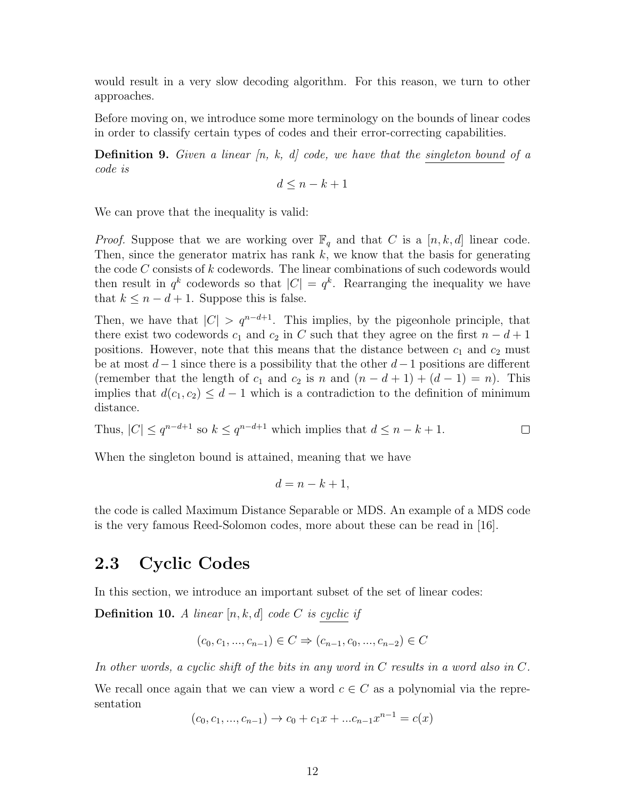would result in a very slow decoding algorithm. For this reason, we turn to other approaches.

Before moving on, we introduce some more terminology on the bounds of linear codes in order to classify certain types of codes and their error-correcting capabilities.

**Definition 9.** Given a linear  $[n, k, d]$  code, we have that the singleton bound of a code is

$$
d \leq n - k + 1
$$

We can prove that the inequality is valid:

*Proof.* Suppose that we are working over  $\mathbb{F}_q$  and that C is a [n, k, d] linear code. Then, since the generator matrix has rank  $k$ , we know that the basis for generating the code C consists of k codewords. The linear combinations of such codewords would then result in  $q^k$  codewords so that  $|C| = q^k$ . Rearranging the inequality we have that  $k \leq n - d + 1$ . Suppose this is false.

Then, we have that  $|C| > q^{n-d+1}$ . This implies, by the pigeonhole principle, that there exist two codewords  $c_1$  and  $c_2$  in C such that they agree on the first  $n - d + 1$ positions. However, note that this means that the distance between  $c_1$  and  $c_2$  must be at most  $d-1$  since there is a possibility that the other  $d-1$  positions are different (remember that the length of  $c_1$  and  $c_2$  is n and  $(n - d + 1) + (d - 1) = n$ ). This implies that  $d(c_1, c_2) \leq d - 1$  which is a contradiction to the definition of minimum distance.

Thus, 
$$
|C| \le q^{n-d+1}
$$
 so  $k \le q^{n-d+1}$  which implies that  $d \le n - k + 1$ .

When the singleton bound is attained, meaning that we have

$$
d = n - k + 1,
$$

the code is called Maximum Distance Separable or MDS. An example of a MDS code is the very famous Reed-Solomon codes, more about these can be read in [16].

#### 2.3 Cyclic Codes

In this section, we introduce an important subset of the set of linear codes:

**Definition 10.** A linear  $[n, k, d]$  code C is cyclic if

$$
(c_0, c_1, ..., c_{n-1}) \in C \Rightarrow (c_{n-1}, c_0, ..., c_{n-2}) \in C
$$

In other words, a cyclic shift of the bits in any word in  $C$  results in a word also in  $C$ .

We recall once again that we can view a word  $c \in C$  as a polynomial via the representation

$$
(c_0, c_1, ..., c_{n-1}) \to c_0 + c_1 x + ... c_{n-1} x^{n-1} = c(x)
$$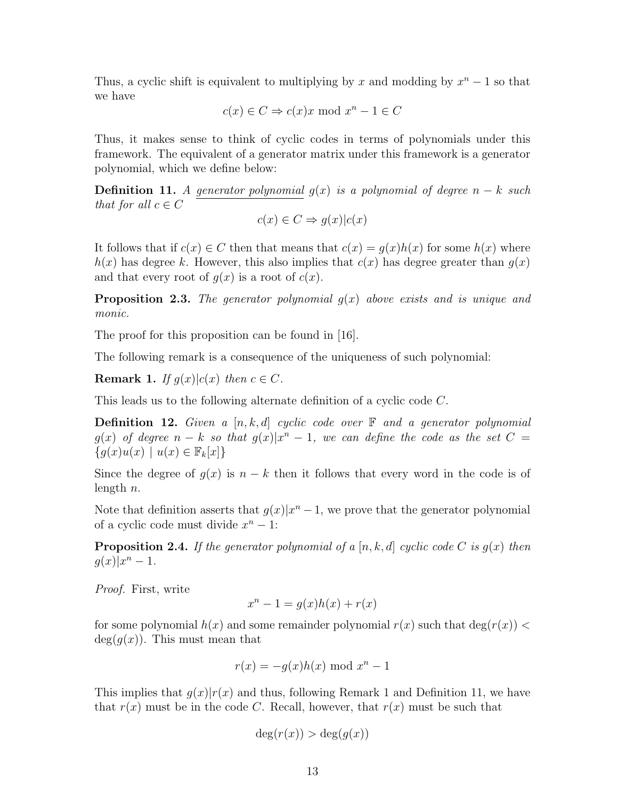Thus, a cyclic shift is equivalent to multiplying by x and modding by  $x<sup>n</sup> - 1$  so that we have

$$
c(x) \in C \Rightarrow c(x)x \bmod x^{n} - 1 \in C
$$

Thus, it makes sense to think of cyclic codes in terms of polynomials under this framework. The equivalent of a generator matrix under this framework is a generator polynomial, which we define below:

**Definition 11.** A generator polynomial  $g(x)$  is a polynomial of degree  $n - k$  such that for all  $c \in C$ 

$$
c(x) \in C \Rightarrow g(x)|c(x)
$$

It follows that if  $c(x) \in C$  then that means that  $c(x) = g(x)h(x)$  for some  $h(x)$  where  $h(x)$  has degree k. However, this also implies that  $c(x)$  has degree greater than  $g(x)$ and that every root of  $g(x)$  is a root of  $c(x)$ .

**Proposition 2.3.** The generator polynomial  $g(x)$  above exists and is unique and monic.

The proof for this proposition can be found in [16].

The following remark is a consequence of the uniqueness of such polynomial:

**Remark 1.** If  $g(x)|c(x)$  then  $c \in C$ .

This leads us to the following alternate definition of a cyclic code C.

**Definition 12.** Given a  $[n, k, d]$  cyclic code over  $\mathbb{F}$  and a generator polynomial  $g(x)$  of degree  $n - k$  so that  $g(x)|x^n - 1$ , we can define the code as the set  $C =$  ${q(x)u(x) \mid u(x) \in \mathbb{F}_k[x]}$ 

Since the degree of  $g(x)$  is  $n - k$  then it follows that every word in the code is of length  $n$ .

Note that definition asserts that  $g(x)|x^n-1$ , we prove that the generator polynomial of a cyclic code must divide  $x^n - 1$ :

**Proposition 2.4.** If the generator polynomial of a  $[n, k, d]$  cyclic code C is  $q(x)$  then  $g(x)|x^n-1.$ 

Proof. First, write

$$
x^n - 1 = g(x)h(x) + r(x)
$$

for some polynomial  $h(x)$  and some remainder polynomial  $r(x)$  such that  $\deg(r(x))$  <  $deg(g(x))$ . This must mean that

$$
r(x) = -g(x)h(x) \bmod x^n - 1
$$

This implies that  $q(x)|r(x)$  and thus, following Remark 1 and Definition 11, we have that  $r(x)$  must be in the code C. Recall, however, that  $r(x)$  must be such that

$$
\deg(r(x)) > \deg(g(x))
$$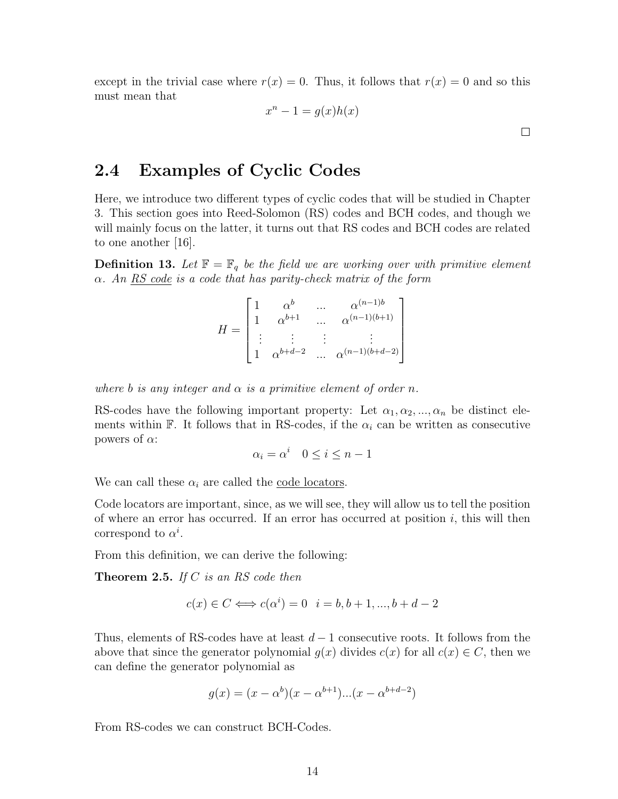except in the trivial case where  $r(x) = 0$ . Thus, it follows that  $r(x) = 0$  and so this must mean that

$$
x^n - 1 = g(x)h(x)
$$

 $\Box$ 

#### 2.4 Examples of Cyclic Codes

Here, we introduce two different types of cyclic codes that will be studied in Chapter 3. This section goes into Reed-Solomon (RS) codes and BCH codes, and though we will mainly focus on the latter, it turns out that RS codes and BCH codes are related to one another [16].

**Definition 13.** Let  $\mathbb{F} = \mathbb{F}_q$  be the field we are working over with primitive element  $\alpha$ . An RS code is a code that has parity-check matrix of the form

$$
H = \begin{bmatrix} 1 & \alpha^{b} & \dots & \alpha^{(n-1)b} \\ 1 & \alpha^{b+1} & \dots & \alpha^{(n-1)(b+1)} \\ \vdots & \vdots & \vdots & \vdots \\ 1 & \alpha^{b+d-2} & \dots & \alpha^{(n-1)(b+d-2)} \end{bmatrix}
$$

where b is any integer and  $\alpha$  is a primitive element of order n.

RS-codes have the following important property: Let  $\alpha_1, \alpha_2, ..., \alpha_n$  be distinct elements within F. It follows that in RS-codes, if the  $\alpha_i$  can be written as consecutive powers of  $\alpha$ :

$$
\alpha_i = \alpha^i \quad 0 \le i \le n-1
$$

We can call these  $\alpha_i$  are called the <u>code locators</u>.

Code locators are important, since, as we will see, they will allow us to tell the position of where an error has occurred. If an error has occurred at position  $i$ , this will then correspond to  $\alpha^i$ .

From this definition, we can derive the following:

**Theorem 2.5.** If  $C$  is an RS code then

$$
c(x) \in C \Longleftrightarrow c(\alpha^i) = 0 \quad i = b, b+1, ..., b+d-2
$$

Thus, elements of RS-codes have at least  $d-1$  consecutive roots. It follows from the above that since the generator polynomial  $g(x)$  divides  $c(x)$  for all  $c(x) \in C$ , then we can define the generator polynomial as

$$
g(x) = (x - \alpha^{b})(x - \alpha^{b+1})...(x - \alpha^{b+d-2})
$$

From RS-codes we can construct BCH-Codes.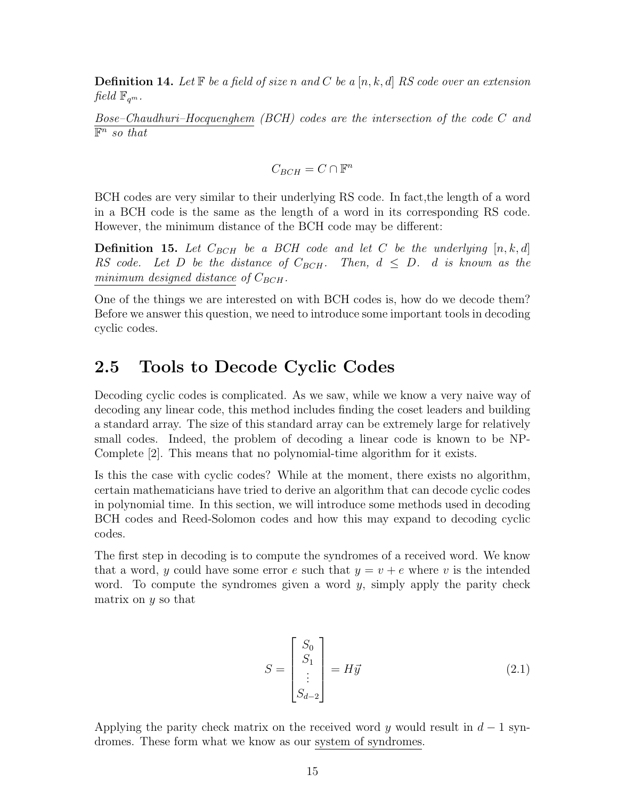**Definition 14.** Let  $\mathbb{F}$  be a field of size n and C be a  $[n, k, d]$  RS code over an extension field  $\mathbb{F}_{q^m}$ .

Bose–Chaudhuri–Hocquenghem (BCH) codes are the intersection of the code C and  $\overline{\mathbb{F}^n}$  so that

$$
C_{BCH} = C \cap \mathbb{F}^n
$$

BCH codes are very similar to their underlying RS code. In fact,the length of a word in a BCH code is the same as the length of a word in its corresponding RS code. However, the minimum distance of the BCH code may be different:

**Definition 15.** Let  $C_{BCH}$  be a BCH code and let C be the underlying  $[n, k, d]$ RS code. Let D be the distance of  $C_{BCH}$ . Then,  $d \le D$ . d is known as the minimum designed distance of  $C_{BCH}$ .

One of the things we are interested on with BCH codes is, how do we decode them? Before we answer this question, we need to introduce some important tools in decoding cyclic codes.

#### 2.5 Tools to Decode Cyclic Codes

Decoding cyclic codes is complicated. As we saw, while we know a very naive way of decoding any linear code, this method includes finding the coset leaders and building a standard array. The size of this standard array can be extremely large for relatively small codes. Indeed, the problem of decoding a linear code is known to be NP-Complete [2]. This means that no polynomial-time algorithm for it exists.

Is this the case with cyclic codes? While at the moment, there exists no algorithm, certain mathematicians have tried to derive an algorithm that can decode cyclic codes in polynomial time. In this section, we will introduce some methods used in decoding BCH codes and Reed-Solomon codes and how this may expand to decoding cyclic codes.

The first step in decoding is to compute the syndromes of a received word. We know that a word, y could have some error e such that  $y = v + e$  where v is the intended word. To compute the syndromes given a word  $y$ , simply apply the parity check matrix on  $y$  so that

$$
S = \begin{bmatrix} S_0 \\ S_1 \\ \vdots \\ S_{d-2} \end{bmatrix} = H\vec{y}
$$
 (2.1)

Applying the parity check matrix on the received word y would result in  $d-1$  syndromes. These form what we know as our system of syndromes.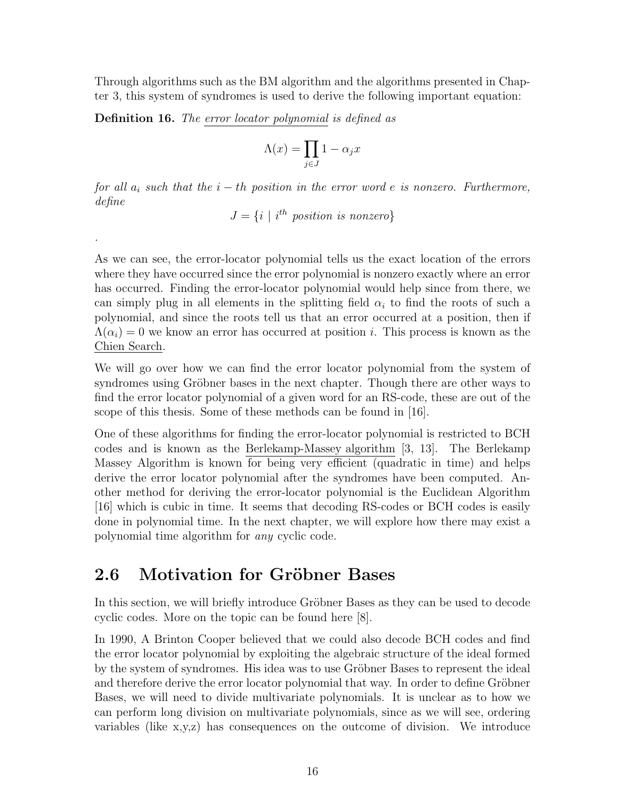Through algorithms such as the BM algorithm and the algorithms presented in Chapter 3, this system of syndromes is used to derive the following important equation:

Definition 16. The error locator polynomial is defined as

.

$$
\Lambda(x) = \prod_{j \in J} 1 - \alpha_j x
$$

for all  $a_i$  such that the  $i - th$  position in the error word e is nonzero. Furthermore, define

 $J = \{i \mid i^{th} \text{ position is nonzero}\}\$ 

As we can see, the error-locator polynomial tells us the exact location of the errors where they have occurred since the error polynomial is nonzero exactly where an error has occurred. Finding the error-locator polynomial would help since from there, we can simply plug in all elements in the splitting field  $\alpha_i$  to find the roots of such a polynomial, and since the roots tell us that an error occurred at a position, then if  $\Lambda(\alpha_i) = 0$  we know an error has occurred at position *i*. This process is known as the Chien Search.

We will go over how we can find the error locator polynomial from the system of syndromes using Gröbner bases in the next chapter. Though there are other ways to find the error locator polynomial of a given word for an RS-code, these are out of the scope of this thesis. Some of these methods can be found in [16].

One of these algorithms for finding the error-locator polynomial is restricted to BCH codes and is known as the Berlekamp-Massey algorithm [3, 13]. The Berlekamp Massey Algorithm is known for being very efficient (quadratic in time) and helps derive the error locator polynomial after the syndromes have been computed. Another method for deriving the error-locator polynomial is the Euclidean Algorithm [16] which is cubic in time. It seems that decoding RS-codes or BCH codes is easily done in polynomial time. In the next chapter, we will explore how there may exist a polynomial time algorithm for any cyclic code.

#### 2.6 Motivation for Gröbner Bases

In this section, we will briefly introduce Gröbner Bases as they can be used to decode cyclic codes. More on the topic can be found here [8].

In 1990, A Brinton Cooper believed that we could also decode BCH codes and find the error locator polynomial by exploiting the algebraic structure of the ideal formed by the system of syndromes. His idea was to use Gröbner Bases to represent the ideal and therefore derive the error locator polynomial that way. In order to define Gröbner Bases, we will need to divide multivariate polynomials. It is unclear as to how we can perform long division on multivariate polynomials, since as we will see, ordering variables (like  $x,y,z$ ) has consequences on the outcome of division. We introduce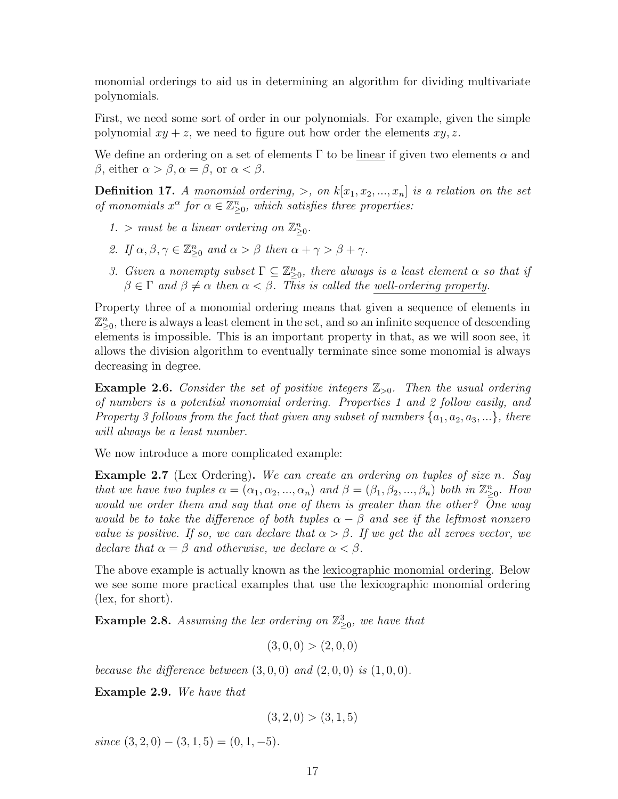monomial orderings to aid us in determining an algorithm for dividing multivariate polynomials.

First, we need some sort of order in our polynomials. For example, given the simple polynomial  $xy + z$ , we need to figure out how order the elements  $xy, z$ .

We define an ordering on a set of elements  $\Gamma$  to be linear if given two elements  $\alpha$  and β, either  $\alpha > \beta$ ,  $\alpha = \beta$ , or  $\alpha < \beta$ .

**Definition 17.** A monomial ordering,  $>$ , on  $k[x_1, x_2, ..., x_n]$  is a relation on the set of monomials  $x^{\alpha}$  for  $\alpha \in \mathbb{Z}_{\geq 0}^n$ , which satisfies three properties:

- 1. > must be a linear ordering on  $\mathbb{Z}_{\geq 0}^n$ .
- 2. If  $\alpha, \beta, \gamma \in \mathbb{Z}_{\geq 0}^n$  and  $\alpha > \beta$  then  $\alpha + \gamma > \beta + \gamma$ .
- 3. Given a nonempty subset  $\Gamma \subseteq \mathbb{Z}_{\geq 0}^n$ , there always is a least element  $\alpha$  so that if  $\beta \in \Gamma$  and  $\beta \neq \alpha$  then  $\alpha < \beta$ . This is called the well-ordering property.

Property three of a monomial ordering means that given a sequence of elements in  $\mathbb{Z}_{\geq 0}^n$ , there is always a least element in the set, and so an infinite sequence of descending elements is impossible. This is an important property in that, as we will soon see, it allows the division algorithm to eventually terminate since some monomial is always decreasing in degree.

**Example 2.6.** Consider the set of positive integers  $\mathbb{Z}_{>0}$ . Then the usual ordering of numbers is a potential monomial ordering. Properties 1 and 2 follow easily, and Property 3 follows from the fact that given any subset of numbers  $\{a_1, a_2, a_3, ...\}$ , there will always be a least number.

We now introduce a more complicated example:

**Example 2.7** (Lex Ordering). We can create an ordering on tuples of size n. Say that we have two tuples  $\alpha = (\alpha_1, \alpha_2, ..., \alpha_n)$  and  $\beta = (\beta_1, \beta_2, ..., \beta_n)$  both in  $\mathbb{Z}_{\geq 0}^n$ . How would we order them and say that one of them is greater than the other? One way would be to take the difference of both tuples  $\alpha - \beta$  and see if the leftmost nonzero value is positive. If so, we can declare that  $\alpha > \beta$ . If we get the all zeroes vector, we declare that  $\alpha = \beta$  and otherwise, we declare  $\alpha < \beta$ .

The above example is actually known as the lexicographic monomial ordering. Below we see some more practical examples that use the lexicographic monomial ordering (lex, for short).

**Example 2.8.** Assuming the lex ordering on  $\mathbb{Z}_{\geq 0}^3$ , we have that

 $(3, 0, 0) > (2, 0, 0)$ 

because the difference between  $(3,0,0)$  and  $(2,0,0)$  is  $(1,0,0)$ .

Example 2.9. We have that

$$
(3,2,0)>(3,1,5)
$$

 $since (3, 2, 0) - (3, 1, 5) = (0, 1, -5).$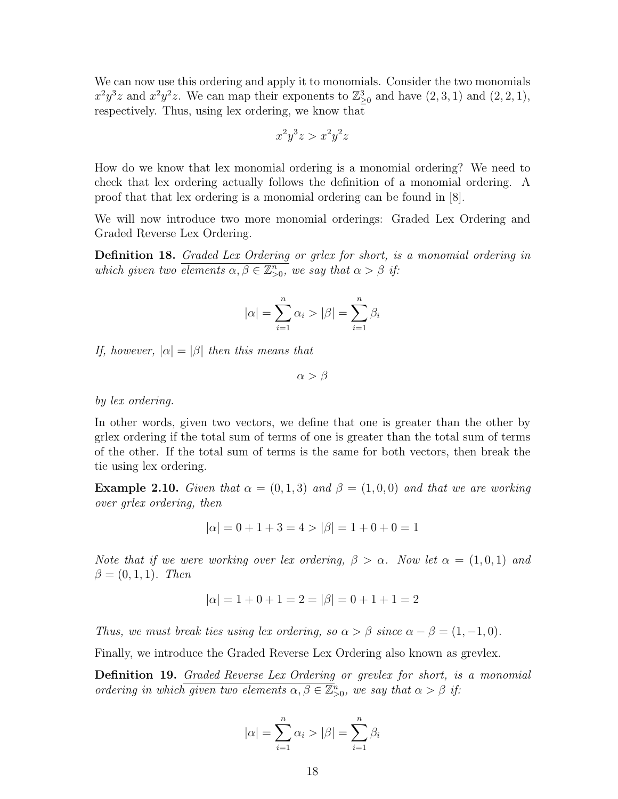We can now use this ordering and apply it to monomials. Consider the two monomials  $x^2y^3z$  and  $x^2y^2z$ . We can map their exponents to  $\mathbb{Z}_{\geq 0}^3$  and have  $(2,3,1)$  and  $(2,2,1)$ , respectively. Thus, using lex ordering, we know that

$$
x^2y^3z > x^2y^2z
$$

How do we know that lex monomial ordering is a monomial ordering? We need to check that lex ordering actually follows the definition of a monomial ordering. A proof that that lex ordering is a monomial ordering can be found in [8].

We will now introduce two more monomial orderings: Graded Lex Ordering and Graded Reverse Lex Ordering.

Definition 18. Graded Lex Ordering or grlex for short, is a monomial ordering in which given two elements  $\alpha, \beta \in \mathbb{Z}_{>0}^n$ , we say that  $\alpha > \beta$  if:

$$
|\alpha| = \sum_{i=1}^{n} \alpha_i > |\beta| = \sum_{i=1}^{n} \beta_i
$$

If, however,  $|\alpha| = |\beta|$  then this means that

$$
\alpha > \beta
$$

#### by lex ordering.

In other words, given two vectors, we define that one is greater than the other by grlex ordering if the total sum of terms of one is greater than the total sum of terms of the other. If the total sum of terms is the same for both vectors, then break the tie using lex ordering.

**Example 2.10.** Given that  $\alpha = (0, 1, 3)$  and  $\beta = (1, 0, 0)$  and that we are working over grlex ordering, then

$$
|\alpha| = 0 + 1 + 3 = 4 > |\beta| = 1 + 0 + 0 = 1
$$

Note that if we were working over lex ordering,  $\beta > \alpha$ . Now let  $\alpha = (1, 0, 1)$  and  $\beta = (0, 1, 1)$ . Then

$$
|\alpha| = 1 + 0 + 1 = 2 = |\beta| = 0 + 1 + 1 = 2
$$

Thus, we must break ties using lex ordering, so  $\alpha > \beta$  since  $\alpha - \beta = (1, -1, 0)$ .

Finally, we introduce the Graded Reverse Lex Ordering also known as grevlex.

Definition 19. Graded Reverse Lex Ordering or grevlex for short, is a monomial ordering in which given two elements  $\alpha, \beta \in \mathbb{Z}_{\geq 0}^n$ , we say that  $\alpha > \beta$  if:

$$
|\alpha| = \sum_{i=1}^{n} \alpha_i > |\beta| = \sum_{i=1}^{n} \beta_i
$$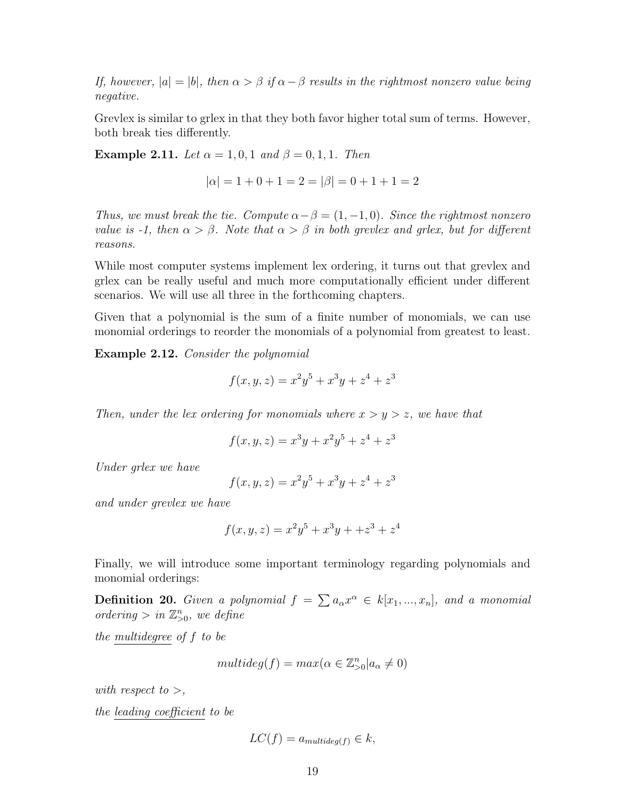If, however,  $|a| = |b|$ , then  $\alpha > \beta$  if  $\alpha - \beta$  results in the rightmost nonzero value being negative.

Grevlex is similar to grlex in that they both favor higher total sum of terms. However, both break ties differently.

**Example 2.11.** Let  $\alpha = 1, 0, 1$  and  $\beta = 0, 1, 1$ . Then

$$
|\alpha| = 1 + 0 + 1 = 2 = |\beta| = 0 + 1 + 1 = 2
$$

Thus, we must break the tie. Compute  $\alpha - \beta = (1, -1, 0)$ . Since the rightmost nonzero value is -1, then  $\alpha > \beta$ . Note that  $\alpha > \beta$  in both grevlex and griex, but for different reasons.

While most computer systems implement lex ordering, it turns out that grevlex and grlex can be really useful and much more computationally efficient under different scenarios. We will use all three in the forthcoming chapters.

Given that a polynomial is the sum of a finite number of monomials, we can use monomial orderings to reorder the monomials of a polynomial from greatest to least.

Example 2.12. Consider the polynomial

$$
f(x, y, z) = x^2y^5 + x^3y + z^4 + z^3
$$

Then, under the lex ordering for monomials where  $x > y > z$ , we have that

$$
f(x, y, z) = x^3y + x^2y^5 + z^4 + z^3
$$

Under grlex we have

$$
f(x, y, z) = x^2y^5 + x^3y + z^4 + z^3
$$

and under grevlex we have

$$
f(x, y, z) = x^2y^5 + x^3y + z^3 + z^4
$$

Finally, we will introduce some important terminology regarding polynomials and monomial orderings:

**Definition 20.** Given a polynomial  $f = \sum a_{\alpha} x^{\alpha} \in k[x_1, ..., x_n]$ , and a monomial ordering  $> in \mathbb{Z}_{>0}^n$ , we define

the multidegree of f to be

$$
multideg(f) = max(\alpha \in \mathbb{Z}_{>0}^n | a_{\alpha} \neq 0)
$$

with respect to  $>$ ,

the leading coefficient to be

$$
LC(f) = a_{multideg(f)} \in k,
$$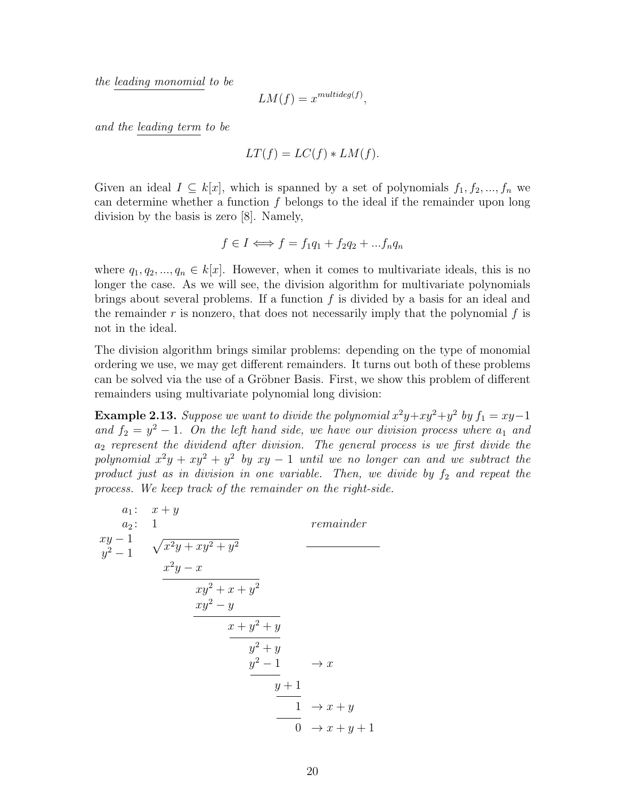the leading monomial to be

$$
LM(f) = x^{multideg(f)},
$$

and the leading term to be

$$
LT(f) = LC(f) * LM(f).
$$

Given an ideal  $I \subseteq k[x]$ , which is spanned by a set of polynomials  $f_1, f_2, ..., f_n$  we can determine whether a function  $f$  belongs to the ideal if the remainder upon long division by the basis is zero [8]. Namely,

$$
f \in I \Longleftrightarrow f = f_1 q_1 + f_2 q_2 + \dots f_n q_n
$$

where  $q_1, q_2, ..., q_n \in k[x]$ . However, when it comes to multivariate ideals, this is no longer the case. As we will see, the division algorithm for multivariate polynomials brings about several problems. If a function  $f$  is divided by a basis for an ideal and the remainder r is nonzero, that does not necessarily imply that the polynomial  $f$  is not in the ideal.

The division algorithm brings similar problems: depending on the type of monomial ordering we use, we may get different remainders. It turns out both of these problems can be solved via the use of a Gröbner Basis. First, we show this problem of different remainders using multivariate polynomial long division:

**Example 2.13.** Suppose we want to divide the polynomial  $x^2y+xy^2+y^2$  by  $f_1=xy-1$ and  $f_2 = y^2 - 1$ . On the left hand side, we have our division process where  $a_1$  and  $a_2$  represent the dividend after division. The general process is we first divide the polynomial  $x^2y + xy^2 + y^2$  by  $xy - 1$  until we no longer can and we subtract the product just as in division in one variable. Then, we divide by  $f_2$  and repeat the process. We keep track of the remainder on the right-side.

$$
a_1: x + y
$$
  
\n
$$
a_2: 1
$$
  
\n
$$
xy - 1
$$
  
\n
$$
xy^2 - 1
$$
  
\n
$$
x^2y - x
$$
  
\n
$$
xy^2 + x + y^2
$$
  
\n
$$
xy^2 - y
$$
  
\n
$$
x + y^2 + y
$$
  
\n
$$
y^2 + y
$$
  
\n
$$
y^2 - 1
$$
  
\n
$$
y + 1
$$
  
\n
$$
y + 1
$$
  
\n
$$
y + 1
$$
  
\n
$$
y + 1
$$
  
\n
$$
y + 1
$$
  
\n
$$
y + 1
$$
  
\n
$$
y + 1
$$
  
\n
$$
y + 1
$$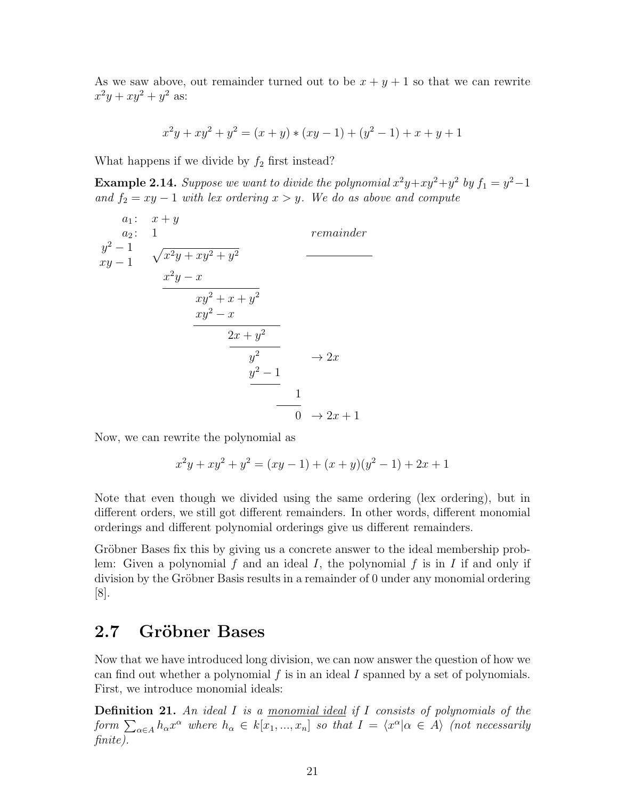As we saw above, out remainder turned out to be  $x + y + 1$  so that we can rewrite  $x^2y + xy^2 + y^2$  as:

$$
x^{2}y + xy^{2} + y^{2} = (x + y) * (xy - 1) + (y^{2} - 1) + x + y + 1
$$

What happens if we divide by  $f_2$  first instead?

**Example 2.14.** Suppose we want to divide the polynomial  $x^2y+xy^2+y^2$  by  $f_1=y^2-1$ and  $f_2 = xy - 1$  with lex ordering  $x > y$ . We do as above and compute

$$
a_1: x + y
$$
  
\n
$$
a_2: 1
$$
  
\n
$$
xy - 1
$$
\n
$$
\sqrt{x^2y + xy^2 + y^2}
$$
\n
$$
xy^2 + x + y^2
$$
\n
$$
xy^2 + x + y^2
$$
\n
$$
xy^2 - x
$$
\n
$$
2x + y^2
$$
\n
$$
y^2 - 1
$$
\n
$$
y^2 - 1
$$
\n
$$
y^2 - 1
$$
\n
$$
y^2 + 1
$$
\n
$$
y^2 + 1
$$
\n
$$
y^2 + 1
$$

Now, we can rewrite the polynomial as

$$
x^{2}y + xy^{2} + y^{2} = (xy - 1) + (x + y)(y^{2} - 1) + 2x + 1
$$

Note that even though we divided using the same ordering (lex ordering), but in different orders, we still got different remainders. In other words, different monomial orderings and different polynomial orderings give us different remainders.

Gröbner Bases fix this by giving us a concrete answer to the ideal membership problem: Given a polynomial f and an ideal I, the polynomial f is in I if and only if division by the Gröbner Basis results in a remainder of 0 under any monomial ordering [8].

#### 2.7 Gröbner Bases

Now that we have introduced long division, we can now answer the question of how we can find out whether a polynomial  $f$  is in an ideal  $I$  spanned by a set of polynomials. First, we introduce monomial ideals:

**Definition 21.** An ideal I is a <u>monomial ideal</u> if I consists of polynomials of the form  $\sum_{\alpha \in A} h_{\alpha} x^{\alpha}$  where  $h_{\alpha} \in k[x_1, ..., x_n]$  so that  $I = \langle x^{\alpha} | \alpha \in A \rangle$  (not necessarily finite).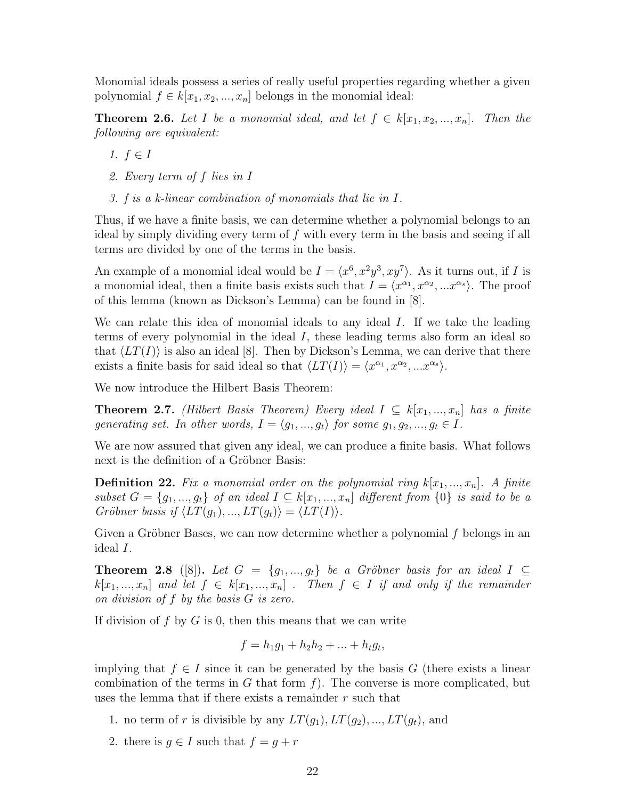Monomial ideals possess a series of really useful properties regarding whether a given polynomial  $f \in k[x_1, x_2, ..., x_n]$  belongs in the monomial ideal:

**Theorem 2.6.** Let I be a monomial ideal, and let  $f \in k[x_1, x_2, ..., x_n]$ . Then the following are equivalent:

- 1.  $f \in I$
- 2. Every term of f lies in I
- 3. f is a k-linear combination of monomials that lie in I.

Thus, if we have a finite basis, we can determine whether a polynomial belongs to an ideal by simply dividing every term of f with every term in the basis and seeing if all terms are divided by one of the terms in the basis.

An example of a monomial ideal would be  $I = \langle x^6, x^2y^3, xy^7 \rangle$ . As it turns out, if I is a monomial ideal, then a finite basis exists such that  $I = \langle x^{\alpha_1}, x^{\alpha_2}, ... x^{\alpha_s} \rangle$ . The proof of this lemma (known as Dickson's Lemma) can be found in [8].

We can relate this idea of monomial ideals to any ideal I. If we take the leading terms of every polynomial in the ideal I, these leading terms also form an ideal so that  $\langle LT(I)\rangle$  is also an ideal [8]. Then by Dickson's Lemma, we can derive that there exists a finite basis for said ideal so that  $\langle LT(I)\rangle = \langle x^{\alpha_1}, x^{\alpha_2}, ... x^{\alpha_s}\rangle$ .

We now introduce the Hilbert Basis Theorem:

**Theorem 2.7.** (Hilbert Basis Theorem) Every ideal  $I \subseteq k[x_1, ..., x_n]$  has a finite generating set. In other words,  $I = \langle g_1, ..., g_t \rangle$  for some  $g_1, g_2, ..., g_t \in I$ .

We are now assured that given any ideal, we can produce a finite basis. What follows next is the definition of a Gröbner Basis:

**Definition 22.** Fix a monomial order on the polynomial ring  $k[x_1, ..., x_n]$ . A finite subset  $G = \{g_1, ..., g_t\}$  of an ideal  $I \subseteq k[x_1, ..., x_n]$  different from  $\{0\}$  is said to be a Gröbner basis if  $\langle LT(q_1),...,LT(q_t)\rangle = \langle LT(I)\rangle$ .

Given a Gröbner Bases, we can now determine whether a polynomial  $f$  belongs in an ideal I.

**Theorem 2.8** ([8]). Let  $G = \{g_1, ..., g_t\}$  be a Gröbner basis for an ideal  $I \subseteq$  $k[x_1, ..., x_n]$  and let  $f \in k[x_1, ..., x_n]$ . Then  $f \in I$  if and only if the remainder on division of f by the basis G is zero.

If division of f by  $G$  is 0, then this means that we can write

$$
f = h_1 g_1 + h_2 h_2 + \dots + h_t g_t,
$$

implying that  $f \in I$  since it can be generated by the basis G (there exists a linear combination of the terms in G that form f). The converse is more complicated, but uses the lemma that if there exists a remainder  $r$  such that

- 1. no term of r is divisible by any  $LT(g_1)$ ,  $LT(g_2)$ , ...,  $LT(g_t)$ , and
- 2. there is  $g \in I$  such that  $f = g + r$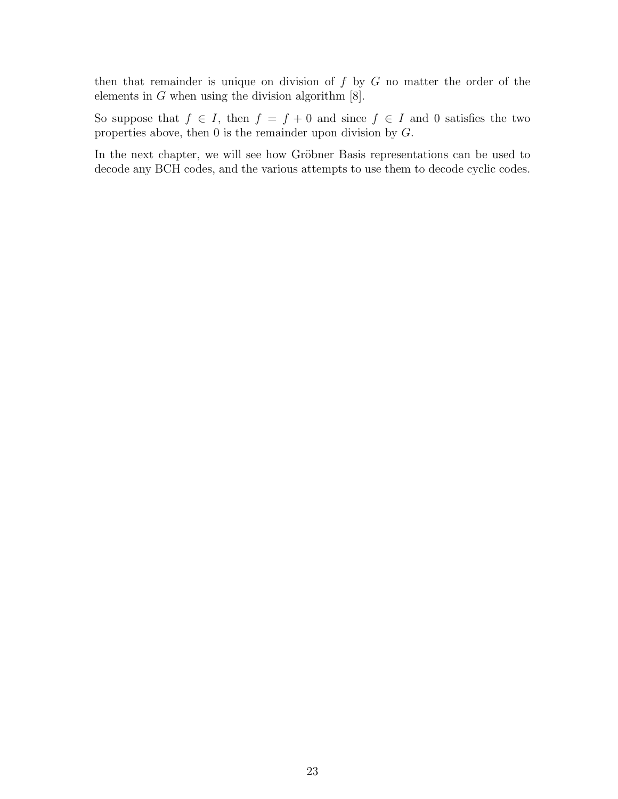then that remainder is unique on division of  $f$  by  $G$  no matter the order of the elements in  $G$  when using the division algorithm  $[8]$ .

So suppose that  $f \in I$ , then  $f = f + 0$  and since  $f \in I$  and 0 satisfies the two properties above, then 0 is the remainder upon division by G.

In the next chapter, we will see how Gröbner Basis representations can be used to decode any BCH codes, and the various attempts to use them to decode cyclic codes.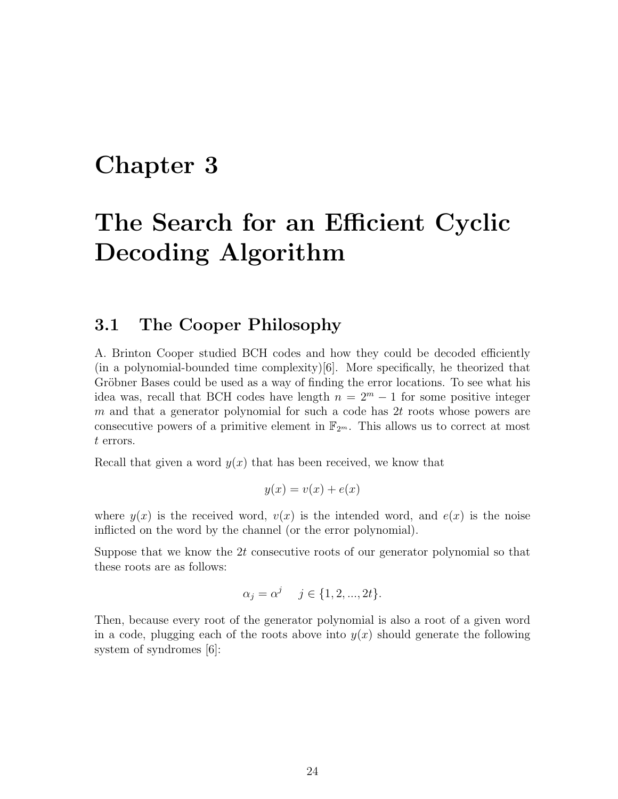### Chapter 3

# The Search for an Efficient Cyclic Decoding Algorithm

#### 3.1 The Cooper Philosophy

A. Brinton Cooper studied BCH codes and how they could be decoded efficiently (in a polynomial-bounded time complexity)[6]. More specifically, he theorized that Gröbner Bases could be used as a way of finding the error locations. To see what his idea was, recall that BCH codes have length  $n = 2<sup>m</sup> - 1$  for some positive integer  $m$  and that a generator polynomial for such a code has 2t roots whose powers are consecutive powers of a primitive element in  $\mathbb{F}_{2^m}$ . This allows us to correct at most t errors.

Recall that given a word  $y(x)$  that has been received, we know that

$$
y(x) = v(x) + e(x)
$$

where  $y(x)$  is the received word,  $v(x)$  is the intended word, and  $e(x)$  is the noise inflicted on the word by the channel (or the error polynomial).

Suppose that we know the  $2t$  consecutive roots of our generator polynomial so that these roots are as follows:

$$
\alpha_j = \alpha^j \quad j \in \{1, 2, ..., 2t\}.
$$

Then, because every root of the generator polynomial is also a root of a given word in a code, plugging each of the roots above into  $y(x)$  should generate the following system of syndromes [6]: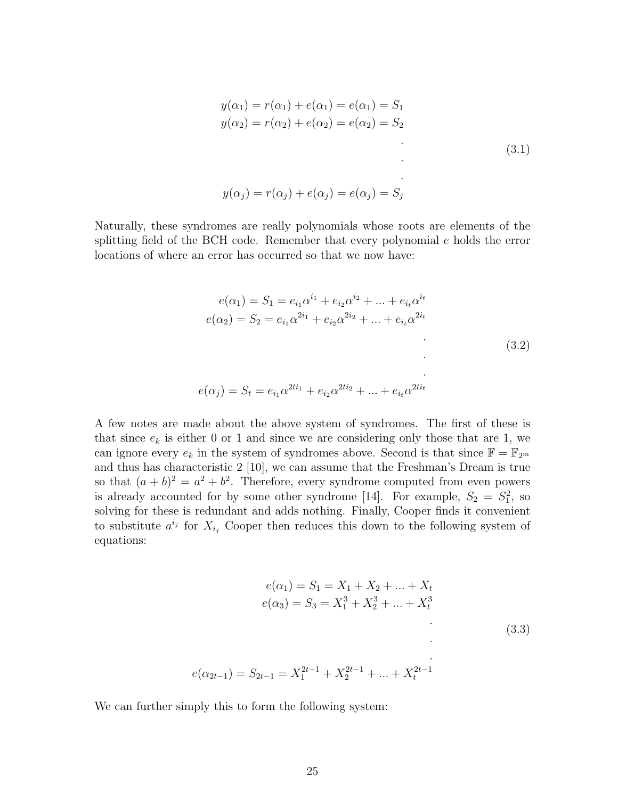$$
y(\alpha_1) = r(\alpha_1) + e(\alpha_1) = e(\alpha_1) = S_1
$$
  
\n
$$
y(\alpha_2) = r(\alpha_2) + e(\alpha_2) = e(\alpha_2) = S_2
$$
  
\n
$$
\vdots
$$
  
\n
$$
y(\alpha_j) = r(\alpha_j) + e(\alpha_j) = e(\alpha_j) = S_j
$$
\n(3.1)

Naturally, these syndromes are really polynomials whose roots are elements of the splitting field of the BCH code. Remember that every polynomial e holds the error locations of where an error has occurred so that we now have:

$$
e(\alpha_1) = S_1 = e_{i_1} \alpha^{i_1} + e_{i_2} \alpha^{i_2} + \dots + e_{i_t} \alpha^{i_t}
$$
  
\n
$$
e(\alpha_2) = S_2 = e_{i_1} \alpha^{2i_1} + e_{i_2} \alpha^{2i_2} + \dots + e_{i_t} \alpha^{2i_t}
$$
\n(3.2)

$$
e(\alpha_j) = S_t = e_{i_1} \alpha^{2ti_1} + e_{i_2} \alpha^{2ti_2} + \dots + e_{i_t} \alpha^{2ti_t}
$$

A few notes are made about the above system of syndromes. The first of these is that since  $e_k$  is either 0 or 1 and since we are considering only those that are 1, we can ignore every  $e_k$  in the system of syndromes above. Second is that since  $\mathbb{F} = \mathbb{F}_{2^m}$ and thus has characteristic 2 [10], we can assume that the Freshman's Dream is true so that  $(a + b)^2 = a^2 + b^2$ . Therefore, every syndrome computed from even powers is already accounted for by some other syndrome [14]. For example,  $S_2 = S_1^2$ , so solving for these is redundant and adds nothing. Finally, Cooper finds it convenient to substitute  $a^{i_j}$  for  $X_{i_j}$  Cooper then reduces this down to the following system of equations:

$$
e(\alpha_1) = S_1 = X_1 + X_2 + \dots + X_t
$$
  
\n
$$
e(\alpha_3) = S_3 = X_1^3 + X_2^3 + \dots + X_t^3
$$
  
\n
$$
e(\alpha_{2t-1}) = S_{2t-1} = X_1^{2t-1} + X_2^{2t-1} + \dots + X_t^{2t-1}
$$
\n(3.3)

We can further simply this to form the following system: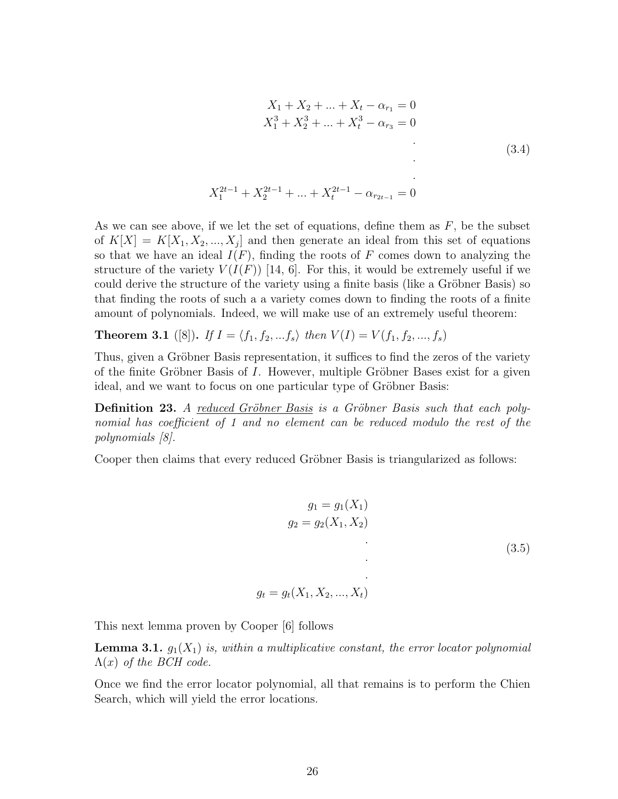$$
X_1 + X_2 + \dots + X_t - \alpha_{r_1} = 0
$$
  
\n
$$
X_1^3 + X_2^3 + \dots + X_t^3 - \alpha_{r_3} = 0
$$
  
\n
$$
\vdots
$$
  
\n
$$
X_1^{2t-1} + X_2^{2t-1} + \dots + X_t^{2t-1} - \alpha_{r_{2t-1}} = 0
$$
  
\n(3.4)

As we can see above, if we let the set of equations, define them as  $F$ , be the subset of  $K[X] = K[X_1, X_2, ..., X_j]$  and then generate an ideal from this set of equations so that we have an ideal  $I(F)$ , finding the roots of F comes down to analyzing the structure of the variety  $V(I(F))$  [14, 6]. For this, it would be extremely useful if we could derive the structure of the variety using a finite basis (like a Gröbner Basis) so that finding the roots of such a a variety comes down to finding the roots of a finite amount of polynomials. Indeed, we will make use of an extremely useful theorem:

**Theorem 3.1** ([8]). If  $I = \langle f_1, f_2, ... f_s \rangle$  then  $V(I) = V(f_1, f_2, ..., f_s)$ 

Thus, given a Gröbner Basis representation, it suffices to find the zeros of the variety of the finite Gröbner Basis of I. However, multiple Gröbner Bases exist for a given ideal, and we want to focus on one particular type of Gröbner Basis:

**Definition 23.** A reduced Gröbner Basis is a Gröbner Basis such that each polynomial has coefficient of 1 and no element can be reduced modulo the rest of the polynomials [8].

Cooper then claims that every reduced Gröbner Basis is triangularized as follows:

$$
g_1 = g_1(X_1)
$$
  
\n
$$
g_2 = g_2(X_1, X_2)
$$
  
\n...  
\n
$$
g_t = g_t(X_1, X_2, ..., X_t)
$$
  
\n(3.5)

This next lemma proven by Cooper [6] follows

**Lemma 3.1.**  $g_1(X_1)$  is, within a multiplicative constant, the error locator polynomial  $\Lambda(x)$  of the BCH code.

Once we find the error locator polynomial, all that remains is to perform the Chien Search, which will yield the error locations.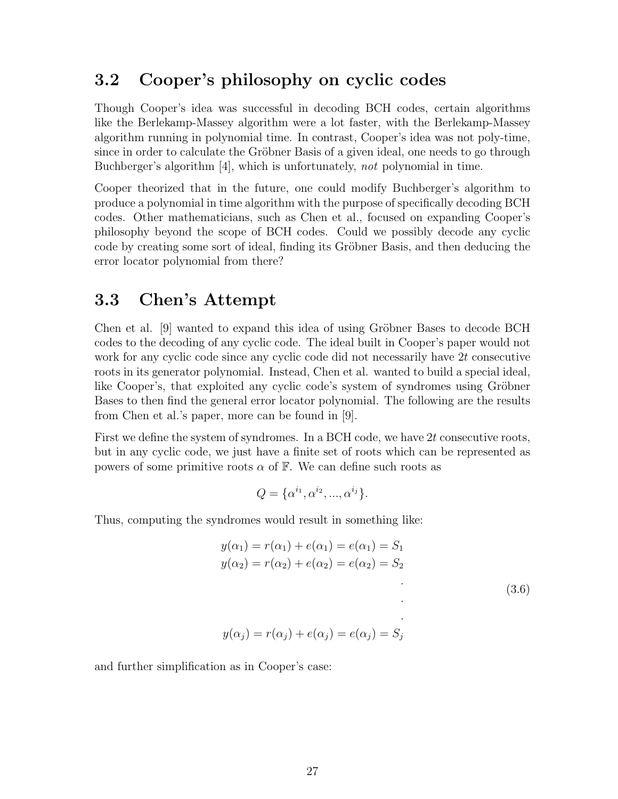### 3.2 Cooper's philosophy on cyclic codes

Though Cooper's idea was successful in decoding BCH codes, certain algorithms like the Berlekamp-Massey algorithm were a lot faster, with the Berlekamp-Massey algorithm running in polynomial time. In contrast, Cooper's idea was not poly-time, since in order to calculate the Gröbner Basis of a given ideal, one needs to go through Buchberger's algorithm [4], which is unfortunately, not polynomial in time.

Cooper theorized that in the future, one could modify Buchberger's algorithm to produce a polynomial in time algorithm with the purpose of specifically decoding BCH codes. Other mathematicians, such as Chen et al., focused on expanding Cooper's philosophy beyond the scope of BCH codes. Could we possibly decode any cyclic code by creating some sort of ideal, finding its Gröbner Basis, and then deducing the error locator polynomial from there?

### 3.3 Chen's Attempt

Chen et al. [9] wanted to expand this idea of using Gröbner Bases to decode BCH codes to the decoding of any cyclic code. The ideal built in Cooper's paper would not work for any cyclic code since any cyclic code did not necessarily have 2t consecutive roots in its generator polynomial. Instead, Chen et al. wanted to build a special ideal, like Cooper's, that exploited any cyclic code's system of syndromes using Gröbner Bases to then find the general error locator polynomial. The following are the results from Chen et al.'s paper, more can be found in [9].

First we define the system of syndromes. In a BCH code, we have 2t consecutive roots, but in any cyclic code, we just have a finite set of roots which can be represented as powers of some primitive roots  $\alpha$  of  $\mathbb{F}$ . We can define such roots as

$$
Q = \{ \alpha^{i_1}, \alpha^{i_2}, ..., \alpha^{i_j} \}.
$$

Thus, computing the syndromes would result in something like:

$$
y(\alpha_1) = r(\alpha_1) + e(\alpha_1) = e(\alpha_1) = S_1
$$
  
\n
$$
y(\alpha_2) = r(\alpha_2) + e(\alpha_2) = e(\alpha_2) = S_2
$$
  
\n
$$
\vdots
$$
  
\n
$$
y(\alpha_j) = r(\alpha_j) + e(\alpha_j) = e(\alpha_j) = S_j
$$
\n(3.6)

and further simplification as in Cooper's case: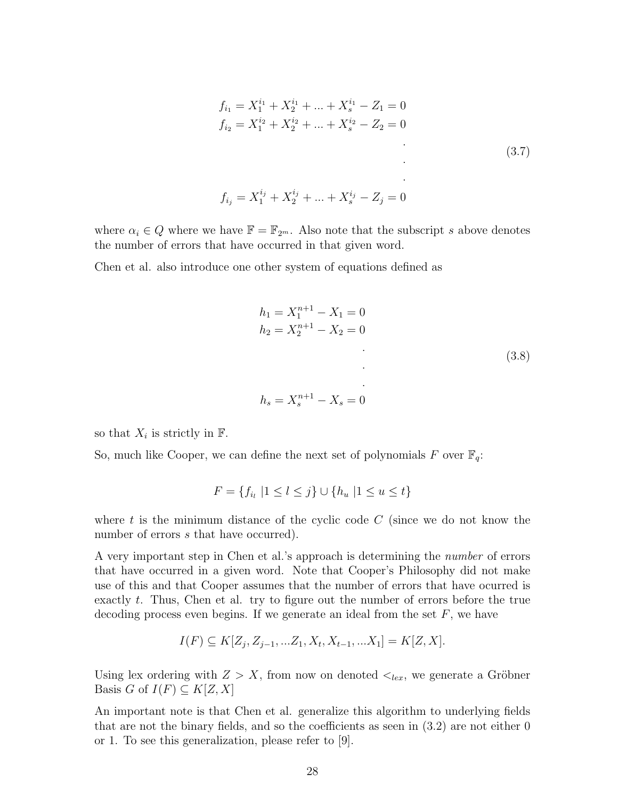$$
f_{i_1} = X_1^{i_1} + X_2^{i_1} + \dots + X_s^{i_1} - Z_1 = 0
$$
  
\n
$$
f_{i_2} = X_1^{i_2} + X_2^{i_2} + \dots + X_s^{i_2} - Z_2 = 0
$$
  
\n
$$
f_{i_j} = X_1^{i_j} + X_2^{i_j} + \dots + X_s^{i_j} - Z_j = 0
$$
\n(3.7)

where  $\alpha_i \in Q$  where we have  $\mathbb{F} = \mathbb{F}_{2^m}$ . Also note that the subscript s above denotes the number of errors that have occurred in that given word.

Chen et al. also introduce one other system of equations defined as

$$
h_1 = X_1^{n+1} - X_1 = 0
$$
  
\n
$$
h_2 = X_2^{n+1} - X_2 = 0
$$
  
\n
$$
h_s = X_s^{n+1} - X_s = 0
$$
\n(3.8)

so that  $X_i$  is strictly in  $\mathbb{F}$ .

So, much like Cooper, we can define the next set of polynomials  $F$  over  $\mathbb{F}_q$ :

$$
F = \{ f_{i_l} \mid 1 \le l \le j \} \cup \{ h_u \mid 1 \le u \le t \}
$$

where t is the minimum distance of the cyclic code  $C$  (since we do not know the number of errors s that have occurred).

A very important step in Chen et al.'s approach is determining the number of errors that have occurred in a given word. Note that Cooper's Philosophy did not make use of this and that Cooper assumes that the number of errors that have ocurred is exactly t. Thus, Chen et al. try to figure out the number of errors before the true decoding process even begins. If we generate an ideal from the set  $F$ , we have

$$
I(F) \subseteq K[Z_j, Z_{j-1}, \dots Z_1, X_t, X_{t-1}, \dots X_1] = K[Z, X].
$$

Using lex ordering with  $Z > X$ , from now on denoted  $\langle_{lex}$ , we generate a Gröbner Basis G of  $I(F) \subseteq K[Z, X]$ 

An important note is that Chen et al. generalize this algorithm to underlying fields that are not the binary fields, and so the coefficients as seen in (3.2) are not either 0 or 1. To see this generalization, please refer to [9].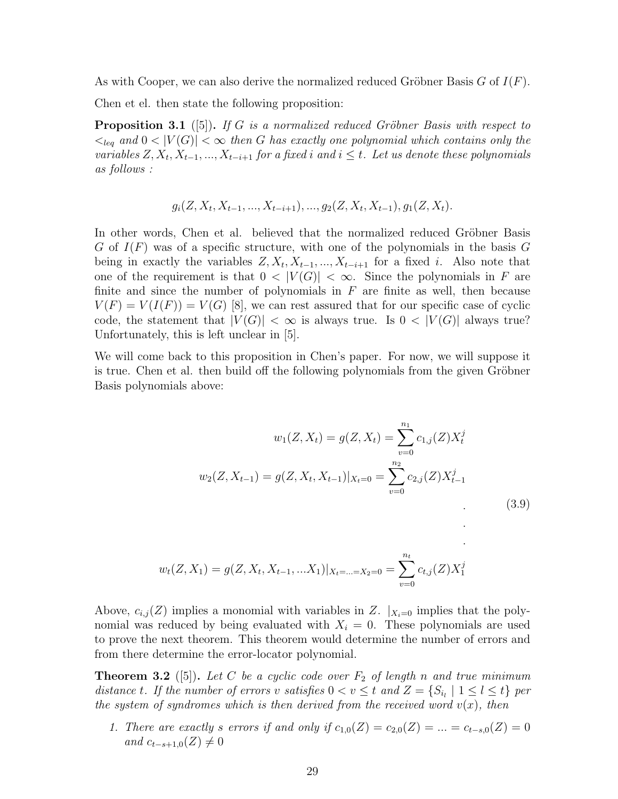As with Cooper, we can also derive the normalized reduced Gröbner Basis  $G$  of  $I(F)$ .

Chen et el. then state the following proposition:

**Proposition 3.1** ([5]). If G is a normalized reduced Gröbner Basis with respect to  $\langle \zeta_{\text{leq}} \text{ and } 0 \rangle |V(G)| \langle \zeta \rangle$  then G has exactly one polynomial which contains only the variables  $Z, X_t, X_{t-1}, ..., X_{t-i+1}$  for a fixed i and  $i \leq t$ . Let us denote these polynomials as follows :

$$
g_i(Z, X_t, X_{t-1}, ..., X_{t-i+1}), ..., g_2(Z, X_t, X_{t-1}), g_1(Z, X_t).
$$

In other words, Chen et al. believed that the normalized reduced Gröbner Basis G of  $I(F)$  was of a specific structure, with one of the polynomials in the basis G being in exactly the variables  $Z, X_t, X_{t-1}, ..., X_{t-i+1}$  for a fixed i. Also note that one of the requirement is that  $0 < |V(G)| < \infty$ . Since the polynomials in F are finite and since the number of polynomials in  $F$  are finite as well, then because  $V(F) = V(I(F)) = V(G)$  [8], we can rest assured that for our specific case of cyclic code, the statement that  $|V(G)| < \infty$  is always true. Is  $0 < |V(G)|$  always true? Unfortunately, this is left unclear in [5].

We will come back to this proposition in Chen's paper. For now, we will suppose it is true. Chen et al. then build off the following polynomials from the given Gröbner Basis polynomials above:

$$
w_1(Z, X_t) = g(Z, X_t) = \sum_{v=0}^{n_1} c_{1,j}(Z) X_t^j
$$
  

$$
w_2(Z, X_{t-1}) = g(Z, X_t, X_{t-1})|_{X_t=0} = \sum_{v=0}^{n_2} c_{2,j}(Z) X_{t-1}^j
$$
(3.9)

. .

$$
w_t(Z, X_1) = g(Z, X_t, X_{t-1}, ... X_1)|_{X_t = ... = X_2 = 0} = \sum_{v=0}^{n_t} c_{t,j}(Z) X_1^j
$$

Above,  $c_{i,j}(Z)$  implies a monomial with variables in Z.  $|_{X_i=0}$  implies that the polynomial was reduced by being evaluated with  $X_i = 0$ . These polynomials are used to prove the next theorem. This theorem would determine the number of errors and from there determine the error-locator polynomial.

**Theorem 3.2** ([5]). Let C be a cyclic code over  $F_2$  of length n and true minimum distance t. If the number of errors v satisfies  $0 < v \leq t$  and  $Z = \{S_{i_l} \mid 1 \leq l \leq t\}$  per the system of syndromes which is then derived from the received word  $v(x)$ , then

1. There are exactly s errors if and only if  $c_{1,0}(Z) = c_{2,0}(Z) = ... = c_{t-s,0}(Z) = 0$ and  $c_{t-s+1,0}(Z) \neq 0$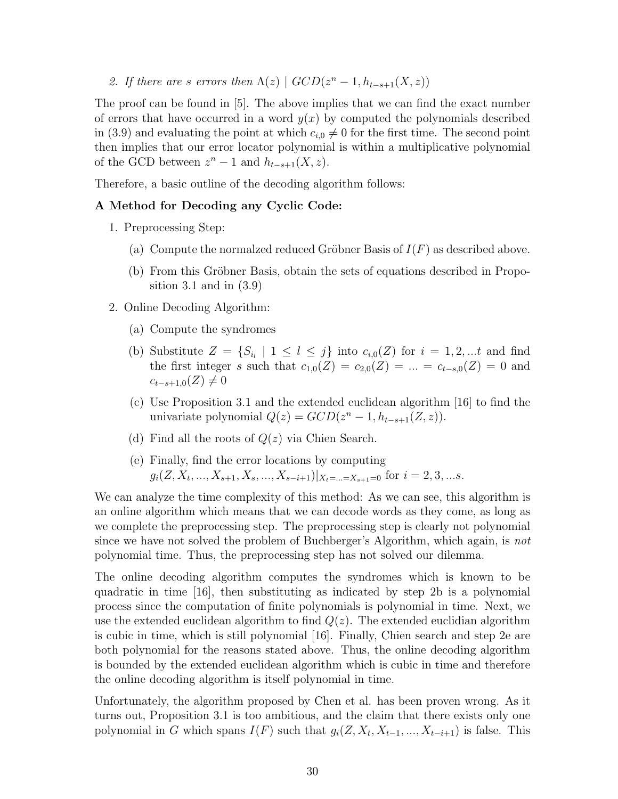2. If there are s errors then  $\Lambda(z) | GCD(z^n - 1, h_{t-s+1}(X, z))$ 

The proof can be found in [5]. The above implies that we can find the exact number of errors that have occurred in a word  $y(x)$  by computed the polynomials described in (3.9) and evaluating the point at which  $c_{i,0} \neq 0$  for the first time. The second point then implies that our error locator polynomial is within a multiplicative polynomial of the GCD between  $z^n - 1$  and  $h_{t-s+1}(X, z)$ .

Therefore, a basic outline of the decoding algorithm follows:

#### A Method for Decoding any Cyclic Code:

- 1. Preprocessing Step:
	- (a) Compute the normalzed reduced Gröbner Basis of  $I(F)$  as described above.
	- (b) From this Gröbner Basis, obtain the sets of equations described in Proposition 3.1 and in  $(3.9)$
- 2. Online Decoding Algorithm:
	- (a) Compute the syndromes
	- (b) Substitute  $Z = \{S_{i_l} \mid 1 \leq l \leq j\}$  into  $c_{i,0}(Z)$  for  $i = 1, 2, \dots t$  and find the first integer s such that  $c_{1,0}(Z) = c_{2,0}(Z) = ... = c_{t-s,0}(Z) = 0$  and  $c_{t-s+1,0}(Z) \neq 0$
	- (c) Use Proposition 3.1 and the extended euclidean algorithm [16] to find the univariate polynomial  $Q(z) = GCD(z<sup>n</sup> - 1, h<sub>t-s+1</sub>(Z, z)).$
	- (d) Find all the roots of  $Q(z)$  via Chien Search.
	- (e) Finally, find the error locations by computing  $g_i(Z, X_t, ..., X_{s+1}, X_s, ..., X_{s-i+1})|_{X_t = ... = X_{s+1}=0}$  for  $i = 2, 3, ...s$ .

We can analyze the time complexity of this method: As we can see, this algorithm is an online algorithm which means that we can decode words as they come, as long as we complete the preprocessing step. The preprocessing step is clearly not polynomial since we have not solved the problem of Buchberger's Algorithm, which again, is not polynomial time. Thus, the preprocessing step has not solved our dilemma.

The online decoding algorithm computes the syndromes which is known to be quadratic in time [16], then substituting as indicated by step 2b is a polynomial process since the computation of finite polynomials is polynomial in time. Next, we use the extended euclidean algorithm to find  $Q(z)$ . The extended euclidian algorithm is cubic in time, which is still polynomial [16]. Finally, Chien search and step 2e are both polynomial for the reasons stated above. Thus, the online decoding algorithm is bounded by the extended euclidean algorithm which is cubic in time and therefore the online decoding algorithm is itself polynomial in time.

Unfortunately, the algorithm proposed by Chen et al. has been proven wrong. As it turns out, Proposition 3.1 is too ambitious, and the claim that there exists only one polynomial in G which spans  $I(F)$  such that  $g_i(Z, X_t, X_{t-1}, ..., X_{t-i+1})$  is false. This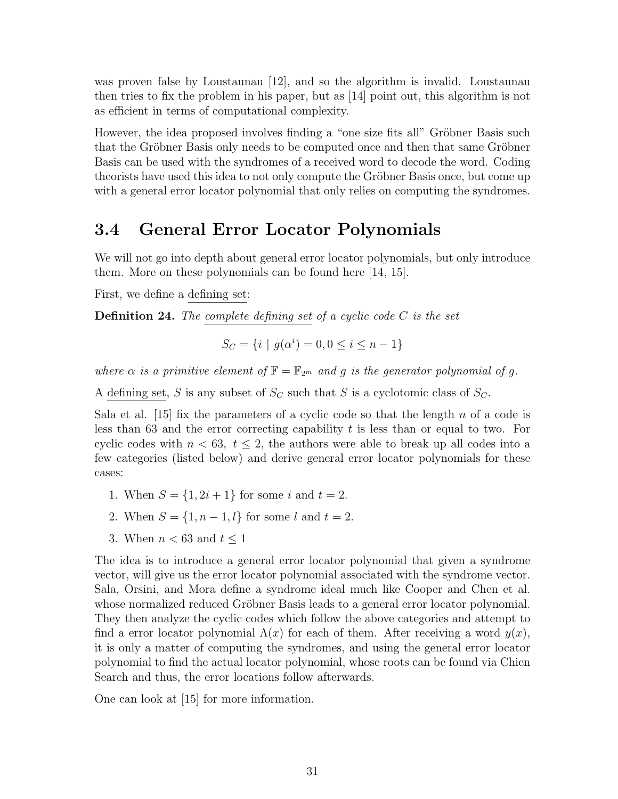was proven false by Loustaunau [12], and so the algorithm is invalid. Loustaunau then tries to fix the problem in his paper, but as [14] point out, this algorithm is not as efficient in terms of computational complexity.

However, the idea proposed involves finding a "one size fits all" Gröbner Basis such that the Gröbner Basis only needs to be computed once and then that same Gröbner Basis can be used with the syndromes of a received word to decode the word. Coding theorists have used this idea to not only compute the Gröbner Basis once, but come up with a general error locator polynomial that only relies on computing the syndromes.

#### 3.4 General Error Locator Polynomials

We will not go into depth about general error locator polynomials, but only introduce them. More on these polynomials can be found here [14, 15].

First, we define a defining set:

**Definition 24.** The complete defining set of a cyclic code  $C$  is the set

$$
S_C = \{ i \mid g(\alpha^i) = 0, 0 \le i \le n - 1 \}
$$

where  $\alpha$  is a primitive element of  $\mathbb{F} = \mathbb{F}_{2^m}$  and g is the generator polynomial of g.

A defining set, S is any subset of  $S_C$  such that S is a cyclotomic class of  $S_C$ .

Sala et al. [15] fix the parameters of a cyclic code so that the length n of a code is less than 63 and the error correcting capability  $t$  is less than or equal to two. For cyclic codes with  $n < 63$ ,  $t \le 2$ , the authors were able to break up all codes into a few categories (listed below) and derive general error locator polynomials for these cases:

- 1. When  $S = \{1, 2i + 1\}$  for some i and  $t = 2$ .
- 2. When  $S = \{1, n-1, l\}$  for some l and  $t = 2$ .
- 3. When  $n < 63$  and  $t \leq 1$

The idea is to introduce a general error locator polynomial that given a syndrome vector, will give us the error locator polynomial associated with the syndrome vector. Sala, Orsini, and Mora define a syndrome ideal much like Cooper and Chen et al. whose normalized reduced Gröbner Basis leads to a general error locator polynomial. They then analyze the cyclic codes which follow the above categories and attempt to find a error locator polynomial  $\Lambda(x)$  for each of them. After receiving a word  $y(x)$ , it is only a matter of computing the syndromes, and using the general error locator polynomial to find the actual locator polynomial, whose roots can be found via Chien Search and thus, the error locations follow afterwards.

One can look at [15] for more information.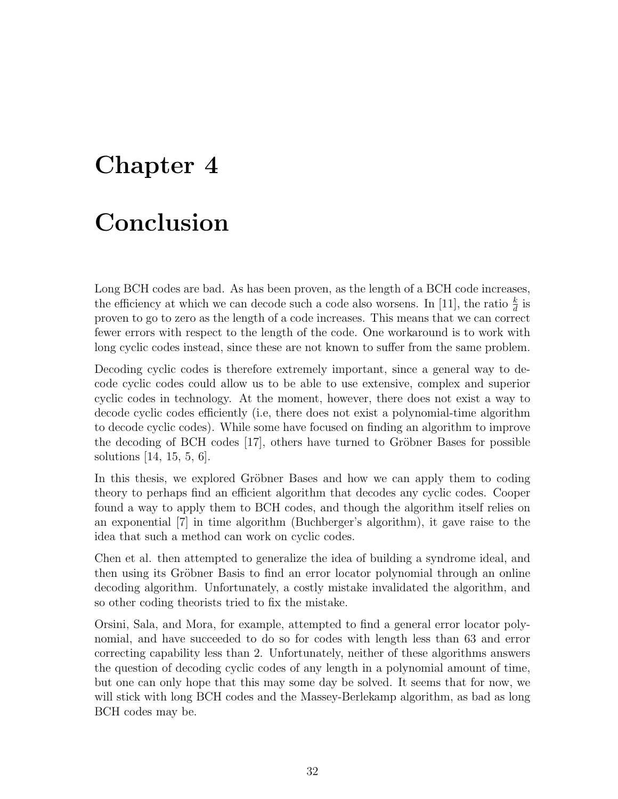## Chapter 4

### Conclusion

Long BCH codes are bad. As has been proven, as the length of a BCH code increases, the efficiency at which we can decode such a code also worsens. In [11], the ratio  $\frac{k}{d}$  is proven to go to zero as the length of a code increases. This means that we can correct fewer errors with respect to the length of the code. One workaround is to work with long cyclic codes instead, since these are not known to suffer from the same problem.

Decoding cyclic codes is therefore extremely important, since a general way to decode cyclic codes could allow us to be able to use extensive, complex and superior cyclic codes in technology. At the moment, however, there does not exist a way to decode cyclic codes efficiently (i.e, there does not exist a polynomial-time algorithm to decode cyclic codes). While some have focused on finding an algorithm to improve the decoding of BCH codes  $[17]$ , others have turned to Gröbner Bases for possible solutions [14, 15, 5, 6].

In this thesis, we explored Gröbner Bases and how we can apply them to coding theory to perhaps find an efficient algorithm that decodes any cyclic codes. Cooper found a way to apply them to BCH codes, and though the algorithm itself relies on an exponential [7] in time algorithm (Buchberger's algorithm), it gave raise to the idea that such a method can work on cyclic codes.

Chen et al. then attempted to generalize the idea of building a syndrome ideal, and then using its Gröbner Basis to find an error locator polynomial through an online decoding algorithm. Unfortunately, a costly mistake invalidated the algorithm, and so other coding theorists tried to fix the mistake.

Orsini, Sala, and Mora, for example, attempted to find a general error locator polynomial, and have succeeded to do so for codes with length less than 63 and error correcting capability less than 2. Unfortunately, neither of these algorithms answers the question of decoding cyclic codes of any length in a polynomial amount of time, but one can only hope that this may some day be solved. It seems that for now, we will stick with long BCH codes and the Massey-Berlekamp algorithm, as bad as long BCH codes may be.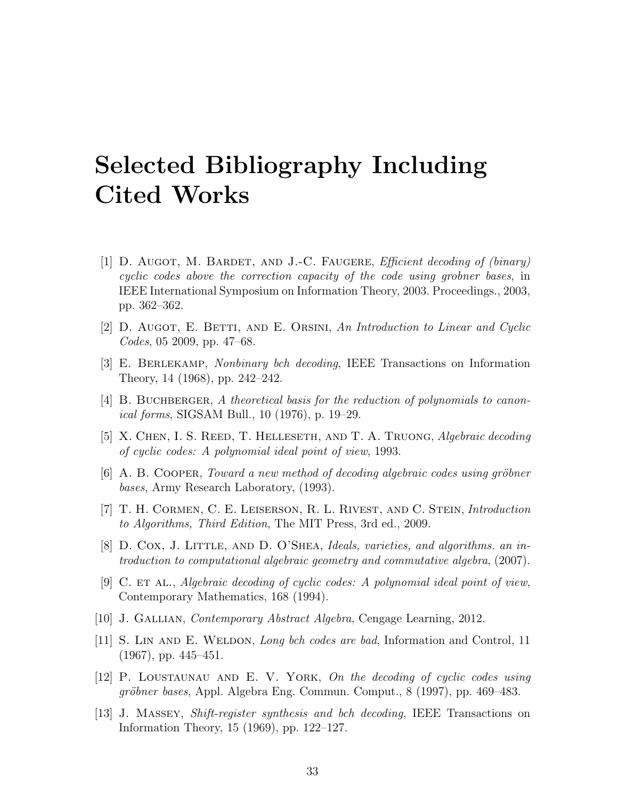# Selected Bibliography Including Cited Works

- [1] D. AUGOT, M. BARDET, AND J.-C. FAUGERE, *Efficient decoding of (binary)* cyclic codes above the correction capacity of the code using grobner bases, in IEEE International Symposium on Information Theory, 2003. Proceedings., 2003, pp. 362–362.
- [2] D. Augot, E. Betti, and E. Orsini, An Introduction to Linear and Cyclic Codes, 05 2009, pp. 47–68.
- [3] E. Berlekamp, Nonbinary bch decoding, IEEE Transactions on Information Theory, 14 (1968), pp. 242–242.
- [4] B. BUCHBERGER, A theoretical basis for the reduction of polynomials to canonical forms, SIGSAM Bull., 10 (1976), p. 19–29.
- [5] X. CHEN, I. S. REED, T. HELLESETH, AND T. A. TRUONG, *Algebraic decoding* of cyclic codes: A polynomial ideal point of view, 1993.
- [6] A. B. COOPER, Toward a new method of decoding algebraic codes using gröbner bases, Army Research Laboratory, (1993).
- [7] T. H. Cormen, C. E. Leiserson, R. L. Rivest, and C. Stein, Introduction to Algorithms, Third Edition, The MIT Press, 3rd ed., 2009.
- [8] D. COX, J. LITTLE, AND D. O'SHEA, Ideals, varieties, and algorithms. an introduction to computational algebraic geometry and commutative algebra, (2007).
- [9] C. ET AL., Algebraic decoding of cyclic codes: A polynomial ideal point of view, Contemporary Mathematics, 168 (1994).
- [10] J. Gallian, Contemporary Abstract Algebra, Cengage Learning, 2012.
- $[11]$  S. LIN AND E. WELDON, Long bch codes are bad, Information and Control, 11 (1967), pp. 445–451.
- [12] P. Loustaunau and E. V. York, On the decoding of cyclic codes using gröbner bases, Appl. Algebra Eng. Commun. Comput., 8 (1997), pp. 469–483.
- $[13]$  J. Massey, *Shift-register synthesis and bch decoding*, IEEE Transactions on Information Theory, 15 (1969), pp. 122–127.